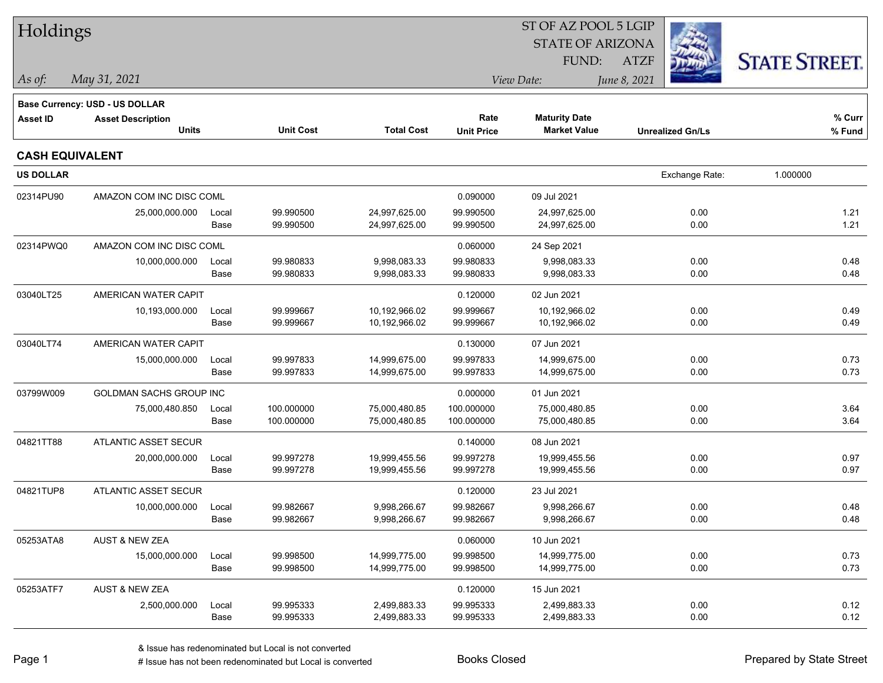| <b>STATE OF ARIZONA</b><br><b>STATE STREET.</b><br><b>FUND:</b><br><b>ATZF</b><br>May 31, 2021<br>View Date:<br>June 8, 2021<br>$\vert$ As of:<br><b>Base Currency: USD - US DOLLAR</b><br>% Curr<br>Rate<br><b>Maturity Date</b><br><b>Asset ID</b><br><b>Asset Description</b><br><b>Units</b><br><b>Total Cost</b><br><b>Unit Cost</b><br><b>Market Value</b><br><b>Unit Price</b><br><b>Unrealized Gn/Ls</b><br>% Fund<br><b>CASH EQUIVALENT</b><br><b>US DOLLAR</b><br>1.000000<br>Exchange Rate:<br>AMAZON COM INC DISC COML<br>09 Jul 2021<br>02314PU90<br>0.090000<br>99.990500<br>99.990500<br>24,997,625.00<br>0.00<br>25,000,000.000<br>24,997,625.00<br>1.21<br>Local<br>99.990500<br>0.00<br>1.21<br>Base<br>24,997,625.00<br>99.990500<br>24,997,625.00<br>02314PWQ0<br>AMAZON COM INC DISC COML<br>0.060000<br>24 Sep 2021<br>99.980833<br>9,998,083.33<br>99.980833<br>0.00<br>0.48<br>10,000,000.000<br>9,998,083.33<br>Local<br>0.48<br>99.980833<br>9,998,083.33<br>99.980833<br>9,998,083.33<br>0.00<br>Base<br>03040LT25<br>AMERICAN WATER CAPIT<br>0.120000<br>02 Jun 2021<br>99.999667<br>10,192,966.02<br>99.999667<br>10,192,966.02<br>0.00<br>0.49<br>10,193,000.000<br>Local<br>Base<br>99.999667<br>99.999667<br>10,192,966.02<br>0.00<br>0.49<br>10,192,966.02<br>03040LT74<br>AMERICAN WATER CAPIT<br>0.130000<br>07 Jun 2021<br>99.997833<br>99.997833<br>0.73<br>15,000,000.000<br>14,999,675.00<br>14,999,675.00<br>0.00<br>Local<br>99.997833<br>0.73<br>Base<br>14,999,675.00<br>99.997833<br>14,999,675.00<br>0.00<br>03799W009<br><b>GOLDMAN SACHS GROUP INC</b><br>0.000000<br>01 Jun 2021<br>100.000000<br>100.000000<br>0.00<br>3.64<br>75,000,480.850<br>75,000,480.85<br>75,000,480.85<br>Local<br>100.000000<br>75,000,480.85<br>100.000000<br>75,000,480.85<br>0.00<br>3.64<br>Base<br>04821TT88<br>ATLANTIC ASSET SECUR<br>0.140000<br>08 Jun 2021<br>99.997278<br>19,999,455.56<br>99.997278<br>0.00<br>0.97<br>20,000,000.000<br>Local<br>19,999,455.56<br>99.997278<br>99.997278<br>0.00<br>0.97<br>Base<br>19,999,455.56<br>19,999,455.56<br>04821TUP8<br><b>ATLANTIC ASSET SECUR</b><br>0.120000<br>23 Jul 2021<br>10,000,000.000<br>99.982667<br>9,998,266.67<br>99.982667<br>9,998,266.67<br>0.00<br>0.48<br>Local<br>Base<br>99.982667<br>9,998,266.67<br>99.982667<br>9,998,266.67<br>0.00<br>0.48<br>05253ATA8<br><b>AUST &amp; NEW ZEA</b><br>0.060000<br>10 Jun 2021<br>15,000,000.000<br>99.998500<br>14,999,775.00<br>99.998500<br>14,999,775.00<br>0.00<br>0.73<br>Local<br>0.73<br>Base<br>99.998500<br>14,999,775.00<br>99.998500<br>14,999,775.00<br>0.00<br>05253ATF7<br><b>AUST &amp; NEW ZEA</b><br>0.120000<br>15 Jun 2021<br>99.995333<br>0.00<br>0.12<br>2,500,000.000<br>Local<br>2,499,883.33<br>99.995333<br>2,499,883.33<br>0.00<br>0.12<br>Base<br>99.995333<br>2,499,883.33<br>99.995333<br>2,499,883.33 | Holdings |  |  | ST OF AZ POOL 5 LGIP |  |  |
|-------------------------------------------------------------------------------------------------------------------------------------------------------------------------------------------------------------------------------------------------------------------------------------------------------------------------------------------------------------------------------------------------------------------------------------------------------------------------------------------------------------------------------------------------------------------------------------------------------------------------------------------------------------------------------------------------------------------------------------------------------------------------------------------------------------------------------------------------------------------------------------------------------------------------------------------------------------------------------------------------------------------------------------------------------------------------------------------------------------------------------------------------------------------------------------------------------------------------------------------------------------------------------------------------------------------------------------------------------------------------------------------------------------------------------------------------------------------------------------------------------------------------------------------------------------------------------------------------------------------------------------------------------------------------------------------------------------------------------------------------------------------------------------------------------------------------------------------------------------------------------------------------------------------------------------------------------------------------------------------------------------------------------------------------------------------------------------------------------------------------------------------------------------------------------------------------------------------------------------------------------------------------------------------------------------------------------------------------------------------------------------------------------------------------------------------------------------------------------------------------------------------------------------------------------------------------------------------------------------------------------------------------------------------------------------------------------------------------------------------------------------------------------------------------------------------------------------------------------------------------------------|----------|--|--|----------------------|--|--|
|                                                                                                                                                                                                                                                                                                                                                                                                                                                                                                                                                                                                                                                                                                                                                                                                                                                                                                                                                                                                                                                                                                                                                                                                                                                                                                                                                                                                                                                                                                                                                                                                                                                                                                                                                                                                                                                                                                                                                                                                                                                                                                                                                                                                                                                                                                                                                                                                                                                                                                                                                                                                                                                                                                                                                                                                                                                                                     |          |  |  |                      |  |  |
|                                                                                                                                                                                                                                                                                                                                                                                                                                                                                                                                                                                                                                                                                                                                                                                                                                                                                                                                                                                                                                                                                                                                                                                                                                                                                                                                                                                                                                                                                                                                                                                                                                                                                                                                                                                                                                                                                                                                                                                                                                                                                                                                                                                                                                                                                                                                                                                                                                                                                                                                                                                                                                                                                                                                                                                                                                                                                     |          |  |  |                      |  |  |
|                                                                                                                                                                                                                                                                                                                                                                                                                                                                                                                                                                                                                                                                                                                                                                                                                                                                                                                                                                                                                                                                                                                                                                                                                                                                                                                                                                                                                                                                                                                                                                                                                                                                                                                                                                                                                                                                                                                                                                                                                                                                                                                                                                                                                                                                                                                                                                                                                                                                                                                                                                                                                                                                                                                                                                                                                                                                                     |          |  |  |                      |  |  |
|                                                                                                                                                                                                                                                                                                                                                                                                                                                                                                                                                                                                                                                                                                                                                                                                                                                                                                                                                                                                                                                                                                                                                                                                                                                                                                                                                                                                                                                                                                                                                                                                                                                                                                                                                                                                                                                                                                                                                                                                                                                                                                                                                                                                                                                                                                                                                                                                                                                                                                                                                                                                                                                                                                                                                                                                                                                                                     |          |  |  |                      |  |  |
|                                                                                                                                                                                                                                                                                                                                                                                                                                                                                                                                                                                                                                                                                                                                                                                                                                                                                                                                                                                                                                                                                                                                                                                                                                                                                                                                                                                                                                                                                                                                                                                                                                                                                                                                                                                                                                                                                                                                                                                                                                                                                                                                                                                                                                                                                                                                                                                                                                                                                                                                                                                                                                                                                                                                                                                                                                                                                     |          |  |  |                      |  |  |
|                                                                                                                                                                                                                                                                                                                                                                                                                                                                                                                                                                                                                                                                                                                                                                                                                                                                                                                                                                                                                                                                                                                                                                                                                                                                                                                                                                                                                                                                                                                                                                                                                                                                                                                                                                                                                                                                                                                                                                                                                                                                                                                                                                                                                                                                                                                                                                                                                                                                                                                                                                                                                                                                                                                                                                                                                                                                                     |          |  |  |                      |  |  |
|                                                                                                                                                                                                                                                                                                                                                                                                                                                                                                                                                                                                                                                                                                                                                                                                                                                                                                                                                                                                                                                                                                                                                                                                                                                                                                                                                                                                                                                                                                                                                                                                                                                                                                                                                                                                                                                                                                                                                                                                                                                                                                                                                                                                                                                                                                                                                                                                                                                                                                                                                                                                                                                                                                                                                                                                                                                                                     |          |  |  |                      |  |  |
|                                                                                                                                                                                                                                                                                                                                                                                                                                                                                                                                                                                                                                                                                                                                                                                                                                                                                                                                                                                                                                                                                                                                                                                                                                                                                                                                                                                                                                                                                                                                                                                                                                                                                                                                                                                                                                                                                                                                                                                                                                                                                                                                                                                                                                                                                                                                                                                                                                                                                                                                                                                                                                                                                                                                                                                                                                                                                     |          |  |  |                      |  |  |
|                                                                                                                                                                                                                                                                                                                                                                                                                                                                                                                                                                                                                                                                                                                                                                                                                                                                                                                                                                                                                                                                                                                                                                                                                                                                                                                                                                                                                                                                                                                                                                                                                                                                                                                                                                                                                                                                                                                                                                                                                                                                                                                                                                                                                                                                                                                                                                                                                                                                                                                                                                                                                                                                                                                                                                                                                                                                                     |          |  |  |                      |  |  |
|                                                                                                                                                                                                                                                                                                                                                                                                                                                                                                                                                                                                                                                                                                                                                                                                                                                                                                                                                                                                                                                                                                                                                                                                                                                                                                                                                                                                                                                                                                                                                                                                                                                                                                                                                                                                                                                                                                                                                                                                                                                                                                                                                                                                                                                                                                                                                                                                                                                                                                                                                                                                                                                                                                                                                                                                                                                                                     |          |  |  |                      |  |  |
|                                                                                                                                                                                                                                                                                                                                                                                                                                                                                                                                                                                                                                                                                                                                                                                                                                                                                                                                                                                                                                                                                                                                                                                                                                                                                                                                                                                                                                                                                                                                                                                                                                                                                                                                                                                                                                                                                                                                                                                                                                                                                                                                                                                                                                                                                                                                                                                                                                                                                                                                                                                                                                                                                                                                                                                                                                                                                     |          |  |  |                      |  |  |
|                                                                                                                                                                                                                                                                                                                                                                                                                                                                                                                                                                                                                                                                                                                                                                                                                                                                                                                                                                                                                                                                                                                                                                                                                                                                                                                                                                                                                                                                                                                                                                                                                                                                                                                                                                                                                                                                                                                                                                                                                                                                                                                                                                                                                                                                                                                                                                                                                                                                                                                                                                                                                                                                                                                                                                                                                                                                                     |          |  |  |                      |  |  |
|                                                                                                                                                                                                                                                                                                                                                                                                                                                                                                                                                                                                                                                                                                                                                                                                                                                                                                                                                                                                                                                                                                                                                                                                                                                                                                                                                                                                                                                                                                                                                                                                                                                                                                                                                                                                                                                                                                                                                                                                                                                                                                                                                                                                                                                                                                                                                                                                                                                                                                                                                                                                                                                                                                                                                                                                                                                                                     |          |  |  |                      |  |  |
|                                                                                                                                                                                                                                                                                                                                                                                                                                                                                                                                                                                                                                                                                                                                                                                                                                                                                                                                                                                                                                                                                                                                                                                                                                                                                                                                                                                                                                                                                                                                                                                                                                                                                                                                                                                                                                                                                                                                                                                                                                                                                                                                                                                                                                                                                                                                                                                                                                                                                                                                                                                                                                                                                                                                                                                                                                                                                     |          |  |  |                      |  |  |
|                                                                                                                                                                                                                                                                                                                                                                                                                                                                                                                                                                                                                                                                                                                                                                                                                                                                                                                                                                                                                                                                                                                                                                                                                                                                                                                                                                                                                                                                                                                                                                                                                                                                                                                                                                                                                                                                                                                                                                                                                                                                                                                                                                                                                                                                                                                                                                                                                                                                                                                                                                                                                                                                                                                                                                                                                                                                                     |          |  |  |                      |  |  |
|                                                                                                                                                                                                                                                                                                                                                                                                                                                                                                                                                                                                                                                                                                                                                                                                                                                                                                                                                                                                                                                                                                                                                                                                                                                                                                                                                                                                                                                                                                                                                                                                                                                                                                                                                                                                                                                                                                                                                                                                                                                                                                                                                                                                                                                                                                                                                                                                                                                                                                                                                                                                                                                                                                                                                                                                                                                                                     |          |  |  |                      |  |  |
|                                                                                                                                                                                                                                                                                                                                                                                                                                                                                                                                                                                                                                                                                                                                                                                                                                                                                                                                                                                                                                                                                                                                                                                                                                                                                                                                                                                                                                                                                                                                                                                                                                                                                                                                                                                                                                                                                                                                                                                                                                                                                                                                                                                                                                                                                                                                                                                                                                                                                                                                                                                                                                                                                                                                                                                                                                                                                     |          |  |  |                      |  |  |
|                                                                                                                                                                                                                                                                                                                                                                                                                                                                                                                                                                                                                                                                                                                                                                                                                                                                                                                                                                                                                                                                                                                                                                                                                                                                                                                                                                                                                                                                                                                                                                                                                                                                                                                                                                                                                                                                                                                                                                                                                                                                                                                                                                                                                                                                                                                                                                                                                                                                                                                                                                                                                                                                                                                                                                                                                                                                                     |          |  |  |                      |  |  |
|                                                                                                                                                                                                                                                                                                                                                                                                                                                                                                                                                                                                                                                                                                                                                                                                                                                                                                                                                                                                                                                                                                                                                                                                                                                                                                                                                                                                                                                                                                                                                                                                                                                                                                                                                                                                                                                                                                                                                                                                                                                                                                                                                                                                                                                                                                                                                                                                                                                                                                                                                                                                                                                                                                                                                                                                                                                                                     |          |  |  |                      |  |  |
|                                                                                                                                                                                                                                                                                                                                                                                                                                                                                                                                                                                                                                                                                                                                                                                                                                                                                                                                                                                                                                                                                                                                                                                                                                                                                                                                                                                                                                                                                                                                                                                                                                                                                                                                                                                                                                                                                                                                                                                                                                                                                                                                                                                                                                                                                                                                                                                                                                                                                                                                                                                                                                                                                                                                                                                                                                                                                     |          |  |  |                      |  |  |
|                                                                                                                                                                                                                                                                                                                                                                                                                                                                                                                                                                                                                                                                                                                                                                                                                                                                                                                                                                                                                                                                                                                                                                                                                                                                                                                                                                                                                                                                                                                                                                                                                                                                                                                                                                                                                                                                                                                                                                                                                                                                                                                                                                                                                                                                                                                                                                                                                                                                                                                                                                                                                                                                                                                                                                                                                                                                                     |          |  |  |                      |  |  |
|                                                                                                                                                                                                                                                                                                                                                                                                                                                                                                                                                                                                                                                                                                                                                                                                                                                                                                                                                                                                                                                                                                                                                                                                                                                                                                                                                                                                                                                                                                                                                                                                                                                                                                                                                                                                                                                                                                                                                                                                                                                                                                                                                                                                                                                                                                                                                                                                                                                                                                                                                                                                                                                                                                                                                                                                                                                                                     |          |  |  |                      |  |  |
|                                                                                                                                                                                                                                                                                                                                                                                                                                                                                                                                                                                                                                                                                                                                                                                                                                                                                                                                                                                                                                                                                                                                                                                                                                                                                                                                                                                                                                                                                                                                                                                                                                                                                                                                                                                                                                                                                                                                                                                                                                                                                                                                                                                                                                                                                                                                                                                                                                                                                                                                                                                                                                                                                                                                                                                                                                                                                     |          |  |  |                      |  |  |
|                                                                                                                                                                                                                                                                                                                                                                                                                                                                                                                                                                                                                                                                                                                                                                                                                                                                                                                                                                                                                                                                                                                                                                                                                                                                                                                                                                                                                                                                                                                                                                                                                                                                                                                                                                                                                                                                                                                                                                                                                                                                                                                                                                                                                                                                                                                                                                                                                                                                                                                                                                                                                                                                                                                                                                                                                                                                                     |          |  |  |                      |  |  |
|                                                                                                                                                                                                                                                                                                                                                                                                                                                                                                                                                                                                                                                                                                                                                                                                                                                                                                                                                                                                                                                                                                                                                                                                                                                                                                                                                                                                                                                                                                                                                                                                                                                                                                                                                                                                                                                                                                                                                                                                                                                                                                                                                                                                                                                                                                                                                                                                                                                                                                                                                                                                                                                                                                                                                                                                                                                                                     |          |  |  |                      |  |  |
|                                                                                                                                                                                                                                                                                                                                                                                                                                                                                                                                                                                                                                                                                                                                                                                                                                                                                                                                                                                                                                                                                                                                                                                                                                                                                                                                                                                                                                                                                                                                                                                                                                                                                                                                                                                                                                                                                                                                                                                                                                                                                                                                                                                                                                                                                                                                                                                                                                                                                                                                                                                                                                                                                                                                                                                                                                                                                     |          |  |  |                      |  |  |
|                                                                                                                                                                                                                                                                                                                                                                                                                                                                                                                                                                                                                                                                                                                                                                                                                                                                                                                                                                                                                                                                                                                                                                                                                                                                                                                                                                                                                                                                                                                                                                                                                                                                                                                                                                                                                                                                                                                                                                                                                                                                                                                                                                                                                                                                                                                                                                                                                                                                                                                                                                                                                                                                                                                                                                                                                                                                                     |          |  |  |                      |  |  |
|                                                                                                                                                                                                                                                                                                                                                                                                                                                                                                                                                                                                                                                                                                                                                                                                                                                                                                                                                                                                                                                                                                                                                                                                                                                                                                                                                                                                                                                                                                                                                                                                                                                                                                                                                                                                                                                                                                                                                                                                                                                                                                                                                                                                                                                                                                                                                                                                                                                                                                                                                                                                                                                                                                                                                                                                                                                                                     |          |  |  |                      |  |  |
|                                                                                                                                                                                                                                                                                                                                                                                                                                                                                                                                                                                                                                                                                                                                                                                                                                                                                                                                                                                                                                                                                                                                                                                                                                                                                                                                                                                                                                                                                                                                                                                                                                                                                                                                                                                                                                                                                                                                                                                                                                                                                                                                                                                                                                                                                                                                                                                                                                                                                                                                                                                                                                                                                                                                                                                                                                                                                     |          |  |  |                      |  |  |
|                                                                                                                                                                                                                                                                                                                                                                                                                                                                                                                                                                                                                                                                                                                                                                                                                                                                                                                                                                                                                                                                                                                                                                                                                                                                                                                                                                                                                                                                                                                                                                                                                                                                                                                                                                                                                                                                                                                                                                                                                                                                                                                                                                                                                                                                                                                                                                                                                                                                                                                                                                                                                                                                                                                                                                                                                                                                                     |          |  |  |                      |  |  |
|                                                                                                                                                                                                                                                                                                                                                                                                                                                                                                                                                                                                                                                                                                                                                                                                                                                                                                                                                                                                                                                                                                                                                                                                                                                                                                                                                                                                                                                                                                                                                                                                                                                                                                                                                                                                                                                                                                                                                                                                                                                                                                                                                                                                                                                                                                                                                                                                                                                                                                                                                                                                                                                                                                                                                                                                                                                                                     |          |  |  |                      |  |  |
|                                                                                                                                                                                                                                                                                                                                                                                                                                                                                                                                                                                                                                                                                                                                                                                                                                                                                                                                                                                                                                                                                                                                                                                                                                                                                                                                                                                                                                                                                                                                                                                                                                                                                                                                                                                                                                                                                                                                                                                                                                                                                                                                                                                                                                                                                                                                                                                                                                                                                                                                                                                                                                                                                                                                                                                                                                                                                     |          |  |  |                      |  |  |
|                                                                                                                                                                                                                                                                                                                                                                                                                                                                                                                                                                                                                                                                                                                                                                                                                                                                                                                                                                                                                                                                                                                                                                                                                                                                                                                                                                                                                                                                                                                                                                                                                                                                                                                                                                                                                                                                                                                                                                                                                                                                                                                                                                                                                                                                                                                                                                                                                                                                                                                                                                                                                                                                                                                                                                                                                                                                                     |          |  |  |                      |  |  |
|                                                                                                                                                                                                                                                                                                                                                                                                                                                                                                                                                                                                                                                                                                                                                                                                                                                                                                                                                                                                                                                                                                                                                                                                                                                                                                                                                                                                                                                                                                                                                                                                                                                                                                                                                                                                                                                                                                                                                                                                                                                                                                                                                                                                                                                                                                                                                                                                                                                                                                                                                                                                                                                                                                                                                                                                                                                                                     |          |  |  |                      |  |  |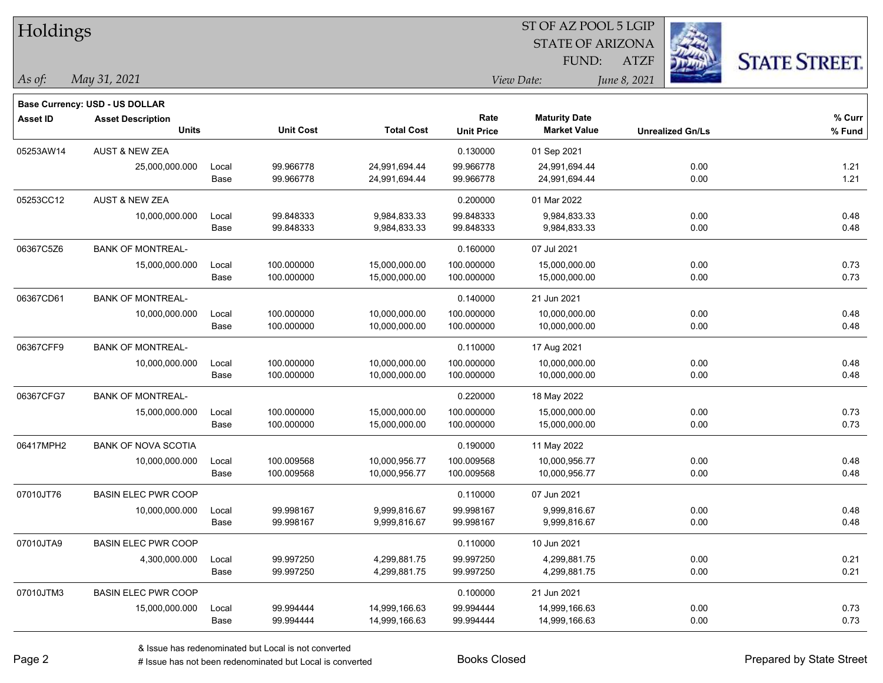| Holdings        |                                       |       |                  |                   |                   | ST OF AZ POOL 5 LGIP    |              |                         |                      |
|-----------------|---------------------------------------|-------|------------------|-------------------|-------------------|-------------------------|--------------|-------------------------|----------------------|
|                 |                                       |       |                  |                   |                   | <b>STATE OF ARIZONA</b> |              |                         |                      |
|                 |                                       |       |                  |                   |                   | FUND:                   | <b>ATZF</b>  |                         | <b>STATE STREET.</b> |
| As of:          | May 31, 2021                          |       |                  |                   |                   | View Date:              | June 8, 2021 |                         |                      |
|                 | <b>Base Currency: USD - US DOLLAR</b> |       |                  |                   |                   |                         |              |                         |                      |
| <b>Asset ID</b> | <b>Asset Description</b>              |       |                  |                   | Rate              | <b>Maturity Date</b>    |              |                         | % Curr               |
|                 | <b>Units</b>                          |       | <b>Unit Cost</b> | <b>Total Cost</b> | <b>Unit Price</b> | <b>Market Value</b>     |              | <b>Unrealized Gn/Ls</b> | % Fund               |
| 05253AW14       | <b>AUST &amp; NEW ZEA</b>             |       |                  |                   | 0.130000          | 01 Sep 2021             |              |                         |                      |
|                 | 25,000,000.000                        | Local | 99.966778        | 24,991,694.44     | 99.966778         | 24,991,694.44           |              | 0.00                    | 1.21                 |
|                 |                                       | Base  | 99.966778        | 24,991,694.44     | 99.966778         | 24,991,694.44           |              | 0.00                    | 1.21                 |
| 05253CC12       | AUST & NEW ZEA                        |       |                  |                   | 0.200000          | 01 Mar 2022             |              |                         |                      |
|                 | 10,000,000.000                        | Local | 99.848333        | 9,984,833.33      | 99.848333         | 9,984,833.33            |              | 0.00                    | 0.48                 |
|                 |                                       | Base  | 99.848333        | 9,984,833.33      | 99.848333         | 9,984,833.33            |              | 0.00                    | 0.48                 |
| 06367C5Z6       | <b>BANK OF MONTREAL-</b>              |       |                  |                   | 0.160000          | 07 Jul 2021             |              |                         |                      |
|                 | 15,000,000.000                        | Local | 100.000000       | 15,000,000.00     | 100.000000        | 15,000,000.00           |              | 0.00                    | 0.73                 |
|                 |                                       | Base  | 100.000000       | 15,000,000.00     | 100.000000        | 15,000,000.00           |              | 0.00                    | 0.73                 |
| 06367CD61       | <b>BANK OF MONTREAL-</b>              |       |                  |                   | 0.140000          | 21 Jun 2021             |              |                         |                      |
|                 | 10,000,000.000                        | Local | 100.000000       | 10,000,000.00     | 100.000000        | 10,000,000.00           |              | 0.00                    | 0.48                 |
|                 |                                       | Base  | 100.000000       | 10,000,000.00     | 100.000000        | 10,000,000.00           |              | 0.00                    | 0.48                 |
| 06367CFF9       | <b>BANK OF MONTREAL-</b>              |       |                  |                   | 0.110000          | 17 Aug 2021             |              |                         |                      |
|                 | 10,000,000.000                        | Local | 100.000000       | 10,000,000.00     | 100.000000        | 10,000,000.00           |              | 0.00                    | 0.48                 |
|                 |                                       | Base  | 100.000000       | 10,000,000.00     | 100.000000        | 10,000,000.00           |              | 0.00                    | 0.48                 |
| 06367CFG7       | <b>BANK OF MONTREAL-</b>              |       |                  |                   | 0.220000          | 18 May 2022             |              |                         |                      |
|                 | 15,000,000.000                        | Local | 100.000000       | 15,000,000.00     | 100.000000        | 15,000,000.00           |              | 0.00                    | 0.73                 |
|                 |                                       | Base  | 100.000000       | 15,000,000.00     | 100.000000        | 15,000,000.00           |              | 0.00                    | 0.73                 |
| 06417MPH2       | <b>BANK OF NOVA SCOTIA</b>            |       |                  |                   | 0.190000          | 11 May 2022             |              |                         |                      |
|                 | 10,000,000.000                        | Local | 100.009568       | 10,000,956.77     | 100.009568        | 10,000,956.77           |              | 0.00                    | 0.48                 |
|                 |                                       | Base  | 100.009568       | 10,000,956.77     | 100.009568        | 10,000,956.77           |              | 0.00                    | 0.48                 |
| 07010JT76       | <b>BASIN ELEC PWR COOP</b>            |       |                  |                   | 0.110000          | 07 Jun 2021             |              |                         |                      |
|                 | 10,000,000.000                        | Local | 99.998167        | 9,999,816.67      | 99.998167         | 9,999,816.67            |              | 0.00                    | 0.48                 |
|                 |                                       | Base  | 99.998167        | 9,999,816.67      | 99.998167         | 9,999,816.67            |              | 0.00                    | 0.48                 |
| 07010JTA9       | <b>BASIN ELEC PWR COOP</b>            |       |                  |                   | 0.110000          | 10 Jun 2021             |              |                         |                      |
|                 | 4,300,000.000                         | Local | 99.997250        | 4,299,881.75      | 99.997250         | 4,299,881.75            |              | 0.00                    | 0.21                 |
|                 |                                       | Base  | 99.997250        | 4,299,881.75      | 99.997250         | 4,299,881.75            |              | 0.00                    | 0.21                 |
| 07010JTM3       | <b>BASIN ELEC PWR COOP</b>            |       |                  |                   | 0.100000          | 21 Jun 2021             |              |                         |                      |
|                 | 15,000,000.000                        | Local | 99.994444        | 14,999,166.63     | 99.994444         | 14,999,166.63           |              | 0.00                    | 0.73                 |
|                 |                                       | Base  | 99.994444        | 14,999,166.63     | 99.994444         | 14,999,166.63           |              | 0.00                    | 0.73                 |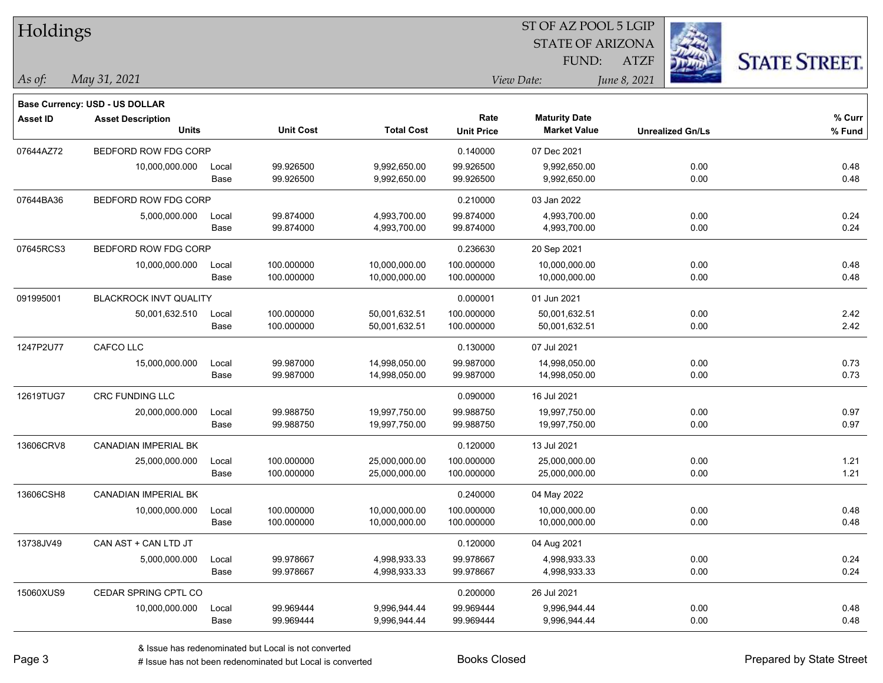|                                       |                          |                                                                                                                               |                                                                       |                                                                                      |                                                                        |                                                                                                               | <b>STATE STREET.</b>                                                                                   |
|---------------------------------------|--------------------------|-------------------------------------------------------------------------------------------------------------------------------|-----------------------------------------------------------------------|--------------------------------------------------------------------------------------|------------------------------------------------------------------------|---------------------------------------------------------------------------------------------------------------|--------------------------------------------------------------------------------------------------------|
| May 31, 2021                          |                          |                                                                                                                               |                                                                       |                                                                                      |                                                                        |                                                                                                               |                                                                                                        |
| <b>Base Currency: USD - US DOLLAR</b> |                          |                                                                                                                               |                                                                       |                                                                                      |                                                                        |                                                                                                               |                                                                                                        |
| <b>Asset Description</b>              |                          |                                                                                                                               |                                                                       | Rate                                                                                 | <b>Maturity Date</b>                                                   |                                                                                                               | $%$ Curr                                                                                               |
|                                       |                          |                                                                                                                               |                                                                       |                                                                                      |                                                                        | <b>Unrealized Gn/Ls</b>                                                                                       | % Fund                                                                                                 |
|                                       |                          |                                                                                                                               |                                                                       | 0.140000                                                                             | 07 Dec 2021                                                            |                                                                                                               |                                                                                                        |
| 10,000,000.000                        | Local                    | 99.926500                                                                                                                     | 9,992,650.00                                                          | 99.926500                                                                            | 9,992,650.00                                                           | 0.00                                                                                                          | 0.48                                                                                                   |
|                                       |                          | 99.926500                                                                                                                     | 9,992,650.00                                                          | 99.926500                                                                            | 9,992,650.00                                                           | 0.00                                                                                                          | 0.48                                                                                                   |
|                                       |                          |                                                                                                                               |                                                                       | 0.210000                                                                             | 03 Jan 2022                                                            |                                                                                                               |                                                                                                        |
| 5,000,000.000                         | Local                    | 99.874000                                                                                                                     | 4,993,700.00                                                          | 99.874000                                                                            | 4,993,700.00                                                           | 0.00                                                                                                          | 0.24                                                                                                   |
|                                       |                          |                                                                                                                               |                                                                       |                                                                                      |                                                                        |                                                                                                               | 0.24                                                                                                   |
|                                       |                          |                                                                                                                               |                                                                       | 0.236630                                                                             | 20 Sep 2021                                                            |                                                                                                               |                                                                                                        |
| 10,000,000.000                        | Local                    | 100.000000                                                                                                                    | 10,000,000.00                                                         | 100.000000                                                                           | 10,000,000.00                                                          | 0.00                                                                                                          | 0.48                                                                                                   |
|                                       | Base                     | 100.000000                                                                                                                    | 10,000,000.00                                                         | 100.000000                                                                           | 10,000,000.00                                                          | 0.00                                                                                                          | 0.48                                                                                                   |
|                                       |                          |                                                                                                                               |                                                                       | 0.000001                                                                             | 01 Jun 2021                                                            |                                                                                                               |                                                                                                        |
| 50,001,632.510                        | Local                    | 100.000000                                                                                                                    | 50,001,632.51                                                         | 100.000000                                                                           | 50,001,632.51                                                          | 0.00                                                                                                          | 2.42                                                                                                   |
|                                       |                          |                                                                                                                               |                                                                       |                                                                                      |                                                                        |                                                                                                               | 2.42                                                                                                   |
| CAFCO LLC                             |                          |                                                                                                                               |                                                                       | 0.130000                                                                             | 07 Jul 2021                                                            |                                                                                                               |                                                                                                        |
| 15,000,000.000                        | Local                    | 99.987000                                                                                                                     | 14,998,050.00                                                         | 99.987000                                                                            | 14,998,050.00                                                          | 0.00                                                                                                          | 0.73                                                                                                   |
|                                       | Base                     |                                                                                                                               |                                                                       |                                                                                      |                                                                        |                                                                                                               | 0.73                                                                                                   |
| CRC FUNDING LLC                       |                          |                                                                                                                               |                                                                       | 0.090000                                                                             | 16 Jul 2021                                                            |                                                                                                               |                                                                                                        |
| 20,000,000.000                        | Local                    | 99.988750                                                                                                                     | 19,997,750.00                                                         | 99.988750                                                                            | 19,997,750.00                                                          | 0.00                                                                                                          | 0.97                                                                                                   |
|                                       | Base                     | 99.988750                                                                                                                     | 19,997,750.00                                                         | 99.988750                                                                            | 19,997,750.00                                                          | 0.00                                                                                                          | 0.97                                                                                                   |
| <b>CANADIAN IMPERIAL BK</b>           |                          |                                                                                                                               |                                                                       | 0.120000                                                                             | 13 Jul 2021                                                            |                                                                                                               |                                                                                                        |
| 25,000,000.000                        | Local                    | 100.000000                                                                                                                    | 25,000,000.00                                                         | 100.000000                                                                           | 25,000,000.00                                                          | 0.00                                                                                                          | 1.21                                                                                                   |
|                                       | Base                     | 100.000000                                                                                                                    | 25,000,000.00                                                         | 100.000000                                                                           | 25,000,000.00                                                          | 0.00                                                                                                          | 1.21                                                                                                   |
| CANADIAN IMPERIAL BK                  |                          |                                                                                                                               |                                                                       | 0.240000                                                                             | 04 May 2022                                                            |                                                                                                               |                                                                                                        |
| 10,000,000.000                        | Local                    | 100.000000                                                                                                                    | 10,000,000.00                                                         | 100.000000                                                                           | 10,000,000.00                                                          | 0.00                                                                                                          | 0.48                                                                                                   |
|                                       | Base                     | 100.000000                                                                                                                    |                                                                       | 100.000000                                                                           |                                                                        | 0.00                                                                                                          | 0.48                                                                                                   |
| CAN AST + CAN LTD JT                  |                          |                                                                                                                               |                                                                       | 0.120000                                                                             | 04 Aug 2021                                                            |                                                                                                               |                                                                                                        |
| 5,000,000.000                         | Local                    | 99.978667                                                                                                                     | 4,998,933.33                                                          | 99.978667                                                                            | 4,998,933.33                                                           | 0.00                                                                                                          | 0.24                                                                                                   |
|                                       | Base                     |                                                                                                                               | 4,998,933.33                                                          |                                                                                      | 4,998,933.33                                                           | 0.00                                                                                                          | 0.24                                                                                                   |
| CEDAR SPRING CPTL CO                  |                          |                                                                                                                               |                                                                       | 0.200000                                                                             | 26 Jul 2021                                                            |                                                                                                               |                                                                                                        |
| 10,000,000.000                        | Local                    | 99.969444                                                                                                                     | 9,996,944.44                                                          | 99.969444                                                                            | 9,996,944.44                                                           | 0.00                                                                                                          | 0.48                                                                                                   |
|                                       | Base                     | 99.969444                                                                                                                     | 9,996,944.44                                                          | 99.969444                                                                            | 9,996,944.44                                                           | 0.00                                                                                                          | 0.48                                                                                                   |
|                                       | Holdings<br><b>Units</b> | BEDFORD ROW FDG CORP<br>Base<br>BEDFORD ROW FDG CORP<br>Base<br>BEDFORD ROW FDG CORP<br><b>BLACKROCK INVT QUALITY</b><br>Base | <b>Unit Cost</b><br>99.874000<br>100.000000<br>99.987000<br>99.978667 | <b>Total Cost</b><br>4,993,700.00<br>50,001,632.51<br>14,998,050.00<br>10,000,000.00 | <b>Unit Price</b><br>99.874000<br>100.000000<br>99.987000<br>99.978667 | FUND:<br>View Date:<br><b>Market Value</b><br>4,993,700.00<br>50,001,632.51<br>14,998,050.00<br>10,000,000.00 | 51 OF AZ POOL 5 LGIP<br><b>STATE OF ARIZONA</b><br><b>ATZF</b><br>June 8, 2021<br>0.00<br>0.00<br>0.00 |

 $ST$  OF AZ POOL 5 LGIP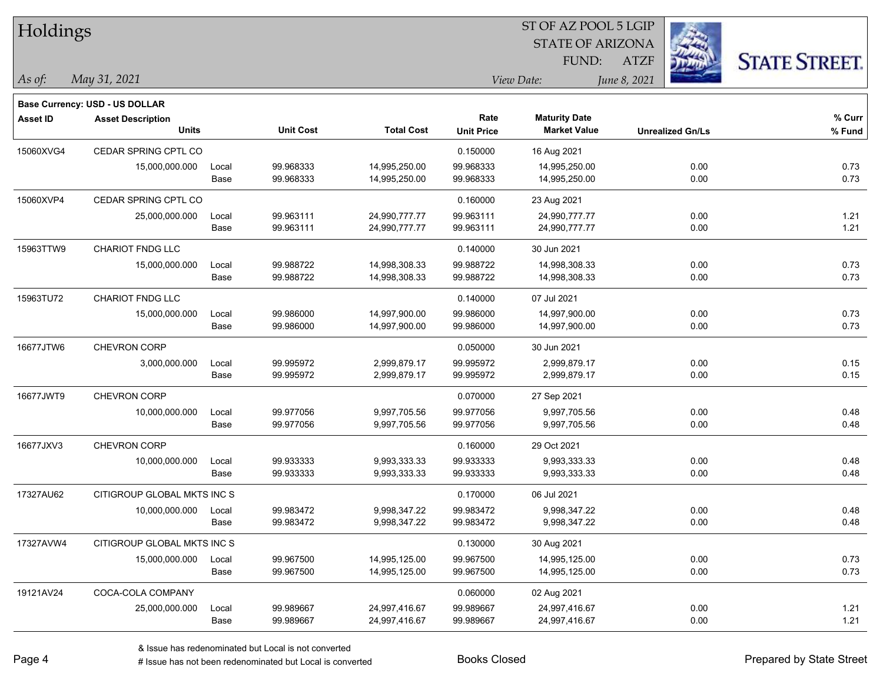| Holdings        |                                       |       |                  | ST OF AZ POOL 5 LGIP |                   |                         |              |                         |                      |
|-----------------|---------------------------------------|-------|------------------|----------------------|-------------------|-------------------------|--------------|-------------------------|----------------------|
|                 |                                       |       |                  |                      |                   | <b>STATE OF ARIZONA</b> |              |                         |                      |
|                 |                                       |       |                  |                      |                   | FUND:                   | <b>ATZF</b>  |                         | <b>STATE STREET.</b> |
| As of:          | May 31, 2021                          |       |                  |                      |                   | View Date:              | June 8, 2021 |                         |                      |
|                 | <b>Base Currency: USD - US DOLLAR</b> |       |                  |                      |                   |                         |              |                         |                      |
| <b>Asset ID</b> | <b>Asset Description</b>              |       |                  |                      | Rate              | <b>Maturity Date</b>    |              |                         | % Curr               |
|                 | <b>Units</b>                          |       | <b>Unit Cost</b> | <b>Total Cost</b>    | <b>Unit Price</b> | <b>Market Value</b>     |              | <b>Unrealized Gn/Ls</b> | % Fund               |
| 15060XVG4       | CEDAR SPRING CPTL CO                  |       |                  |                      | 0.150000          | 16 Aug 2021             |              |                         |                      |
|                 | 15,000,000.000                        | Local | 99.968333        | 14,995,250.00        | 99.968333         | 14,995,250.00           |              | 0.00                    | 0.73                 |
|                 |                                       | Base  | 99.968333        | 14,995,250.00        | 99.968333         | 14,995,250.00           |              | 0.00                    | 0.73                 |
| 15060XVP4       | CEDAR SPRING CPTL CO                  |       |                  |                      | 0.160000          | 23 Aug 2021             |              |                         |                      |
|                 | 25,000,000.000                        | Local | 99.963111        | 24,990,777.77        | 99.963111         | 24,990,777.77           |              | 0.00                    | 1.21                 |
|                 |                                       | Base  | 99.963111        | 24,990,777.77        | 99.963111         | 24,990,777.77           |              | 0.00                    | 1.21                 |
| 15963TTW9       | <b>CHARIOT FNDG LLC</b>               |       |                  |                      | 0.140000          | 30 Jun 2021             |              |                         |                      |
|                 | 15,000,000.000                        | Local | 99.988722        | 14,998,308.33        | 99.988722         | 14,998,308.33           |              | 0.00                    | 0.73                 |
|                 |                                       | Base  | 99.988722        | 14,998,308.33        | 99.988722         | 14,998,308.33           |              | 0.00                    | 0.73                 |
| 15963TU72       | CHARIOT FNDG LLC                      |       |                  |                      | 0.140000          | 07 Jul 2021             |              |                         |                      |
|                 | 15,000,000.000                        | Local | 99.986000        | 14,997,900.00        | 99.986000         | 14,997,900.00           |              | 0.00                    | 0.73                 |
|                 |                                       | Base  | 99.986000        | 14,997,900.00        | 99.986000         | 14,997,900.00           |              | 0.00                    | 0.73                 |
| 16677JTW6       | CHEVRON CORP                          |       |                  |                      | 0.050000          | 30 Jun 2021             |              |                         |                      |
|                 | 3,000,000.000                         | Local | 99.995972        | 2,999,879.17         | 99.995972         | 2,999,879.17            |              | 0.00                    | 0.15                 |
|                 |                                       | Base  | 99.995972        | 2,999,879.17         | 99.995972         | 2,999,879.17            |              | 0.00                    | 0.15                 |
| 16677JWT9       | <b>CHEVRON CORP</b>                   |       |                  |                      | 0.070000          | 27 Sep 2021             |              |                         |                      |
|                 | 10,000,000.000                        | Local | 99.977056        | 9,997,705.56         | 99.977056         | 9,997,705.56            |              | 0.00                    | 0.48                 |
|                 |                                       | Base  | 99.977056        | 9,997,705.56         | 99.977056         | 9,997,705.56            |              | 0.00                    | 0.48                 |
| 16677JXV3       | CHEVRON CORP                          |       |                  |                      | 0.160000          | 29 Oct 2021             |              |                         |                      |
|                 | 10,000,000.000                        | Local | 99.933333        | 9,993,333.33         | 99.933333         | 9,993,333.33            |              | 0.00                    | 0.48                 |
|                 |                                       | Base  | 99.933333        | 9,993,333.33         | 99.933333         | 9,993,333.33            |              | 0.00                    | 0.48                 |
| 17327AU62       | CITIGROUP GLOBAL MKTS INC S           |       |                  |                      | 0.170000          | 06 Jul 2021             |              |                         |                      |
|                 | 10,000,000.000                        | Local | 99.983472        | 9,998,347.22         | 99.983472         | 9,998,347.22            |              | 0.00                    | 0.48                 |
|                 |                                       | Base  | 99.983472        | 9,998,347.22         | 99.983472         | 9,998,347.22            |              | 0.00                    | 0.48                 |
| 17327AVW4       | CITIGROUP GLOBAL MKTS INC S           |       |                  |                      | 0.130000          | 30 Aug 2021             |              |                         |                      |
|                 | 15,000,000.000                        | Local | 99.967500        | 14,995,125.00        | 99.967500         | 14,995,125.00           |              | 0.00                    | 0.73                 |
|                 |                                       | Base  | 99.967500        | 14,995,125.00        | 99.967500         | 14,995,125.00           |              | 0.00                    | 0.73                 |
| 19121AV24       | COCA-COLA COMPANY                     |       |                  |                      | 0.060000          | 02 Aug 2021             |              |                         |                      |
|                 | 25,000,000.000                        | Local | 99.989667        | 24,997,416.67        | 99.989667         | 24,997,416.67           |              | 0.00                    | 1.21                 |
|                 |                                       | Base  | 99.989667        | 24,997,416.67        | 99.989667         | 24,997,416.67           |              | 0.00                    | 1.21                 |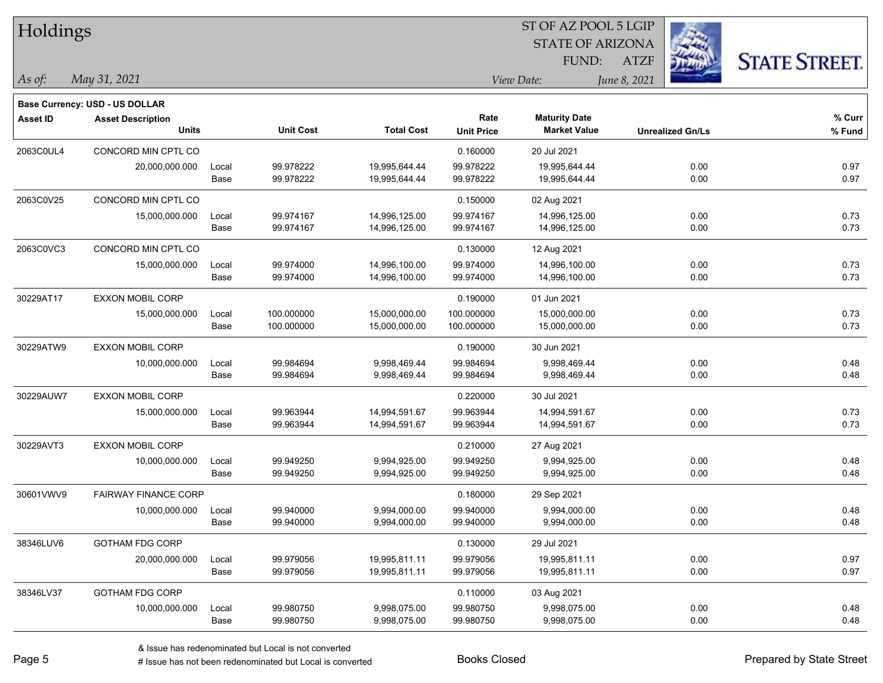| Holdings        |                                |       | ST OF AZ POOL 5 LGIP |                   |                   |                         |              |                         |                      |  |
|-----------------|--------------------------------|-------|----------------------|-------------------|-------------------|-------------------------|--------------|-------------------------|----------------------|--|
|                 |                                |       |                      |                   |                   | <b>STATE OF ARIZONA</b> |              |                         |                      |  |
|                 |                                |       |                      |                   |                   | FUND:                   | <b>ATZF</b>  |                         | <b>STATE STREET.</b> |  |
| $\vert$ As of:  | May 31, 2021                   |       |                      |                   |                   | View Date:              | June 8, 2021 |                         |                      |  |
|                 | Base Currency: USD - US DOLLAR |       |                      |                   |                   |                         |              |                         |                      |  |
| <b>Asset ID</b> | <b>Asset Description</b>       |       |                      |                   | Rate              | <b>Maturity Date</b>    |              |                         | % Curr               |  |
|                 | <b>Units</b>                   |       | <b>Unit Cost</b>     | <b>Total Cost</b> | <b>Unit Price</b> | <b>Market Value</b>     |              | <b>Unrealized Gn/Ls</b> | % Fund               |  |
| 2063C0UL4       | CONCORD MIN CPTL CO            |       |                      |                   | 0.160000          | 20 Jul 2021             |              |                         |                      |  |
|                 | 20,000,000.000                 | Local | 99.978222            | 19,995,644.44     | 99.978222         | 19,995,644.44           |              | 0.00                    | 0.97                 |  |
|                 |                                | Base  | 99.978222            | 19,995,644.44     | 99.978222         | 19,995,644.44           |              | 0.00                    | 0.97                 |  |
| 2063C0V25       | CONCORD MIN CPTL CO            |       |                      |                   | 0.150000          | 02 Aug 2021             |              |                         |                      |  |
|                 | 15,000,000.000                 | Local | 99.974167            | 14,996,125.00     | 99.974167         | 14,996,125.00           |              | 0.00                    | 0.73                 |  |
|                 |                                | Base  | 99.974167            | 14,996,125.00     | 99.974167         | 14,996,125.00           |              | 0.00                    | 0.73                 |  |
| 2063C0VC3       | CONCORD MIN CPTL CO            |       |                      |                   | 0.130000          | 12 Aug 2021             |              |                         |                      |  |
|                 | 15,000,000.000                 | Local | 99.974000            | 14,996,100.00     | 99.974000         | 14,996,100.00           |              | 0.00                    | 0.73                 |  |
|                 |                                | Base  | 99.974000            | 14,996,100.00     | 99.974000         | 14,996,100.00           |              | 0.00                    | 0.73                 |  |
| 30229AT17       | <b>EXXON MOBIL CORP</b>        |       |                      |                   | 0.190000          | 01 Jun 2021             |              |                         |                      |  |
|                 | 15,000,000.000                 | Local | 100.000000           | 15,000,000.00     | 100.000000        | 15,000,000.00           |              | 0.00                    | 0.73                 |  |
|                 |                                | Base  | 100.000000           | 15,000,000.00     | 100.000000        | 15,000,000.00           |              | 0.00                    | 0.73                 |  |
| 30229ATW9       | <b>EXXON MOBIL CORP</b>        |       |                      |                   | 0.190000          | 30 Jun 2021             |              |                         |                      |  |
|                 | 10,000,000.000                 | Local | 99.984694            | 9,998,469.44      | 99.984694         | 9,998,469.44            |              | 0.00                    | 0.48                 |  |
|                 |                                | Base  | 99.984694            | 9,998,469.44      | 99.984694         | 9,998,469.44            |              | 0.00                    | 0.48                 |  |
| 30229AUW7       | <b>EXXON MOBIL CORP</b>        |       |                      |                   | 0.220000          | 30 Jul 2021             |              |                         |                      |  |
|                 | 15,000,000.000                 | Local | 99.963944            | 14,994,591.67     | 99.963944         | 14,994,591.67           |              | 0.00                    | 0.73                 |  |
|                 |                                | Base  | 99.963944            | 14,994,591.67     | 99.963944         | 14,994,591.67           |              | 0.00                    | 0.73                 |  |
| 30229AVT3       | <b>EXXON MOBIL CORP</b>        |       |                      |                   | 0.210000          | 27 Aug 2021             |              |                         |                      |  |
|                 | 10,000,000.000                 | Local | 99.949250            | 9,994,925.00      | 99.949250         | 9,994,925.00            |              | 0.00                    | 0.48                 |  |
|                 |                                | Base  | 99.949250            | 9,994,925.00      | 99.949250         | 9,994,925.00            |              | 0.00                    | 0.48                 |  |
| 30601VWV9       | <b>FAIRWAY FINANCE CORP</b>    |       |                      |                   | 0.180000          | 29 Sep 2021             |              |                         |                      |  |
|                 | 10,000,000.000                 | Local | 99.940000            | 9,994,000.00      | 99.940000         | 9,994,000.00            |              | 0.00                    | 0.48                 |  |
|                 |                                | Base  | 99.940000            | 9,994,000.00      | 99.940000         | 9,994,000.00            |              | 0.00                    | 0.48                 |  |
| 38346LUV6       | <b>GOTHAM FDG CORP</b>         |       |                      |                   | 0.130000          | 29 Jul 2021             |              |                         |                      |  |
|                 | 20,000,000.000                 | Local | 99.979056            | 19,995,811.11     | 99.979056         | 19,995,811.11           |              | 0.00                    | 0.97                 |  |
|                 |                                | Base  | 99.979056            | 19,995,811.11     | 99.979056         | 19,995,811.11           |              | 0.00                    | 0.97                 |  |
| 38346LV37       | <b>GOTHAM FDG CORP</b>         |       |                      |                   | 0.110000          | 03 Aug 2021             |              |                         |                      |  |
|                 | 10,000,000.000                 | Local | 99.980750            | 9,998,075.00      | 99.980750         | 9,998,075.00            |              | 0.00                    | 0.48                 |  |
|                 |                                | Base  | 99.980750            | 9,998,075.00      | 99.980750         | 9,998,075.00            |              | 0.00                    | 0.48                 |  |

# Issue has not been redenominated but Local is converted Books Closed Prepared by State Street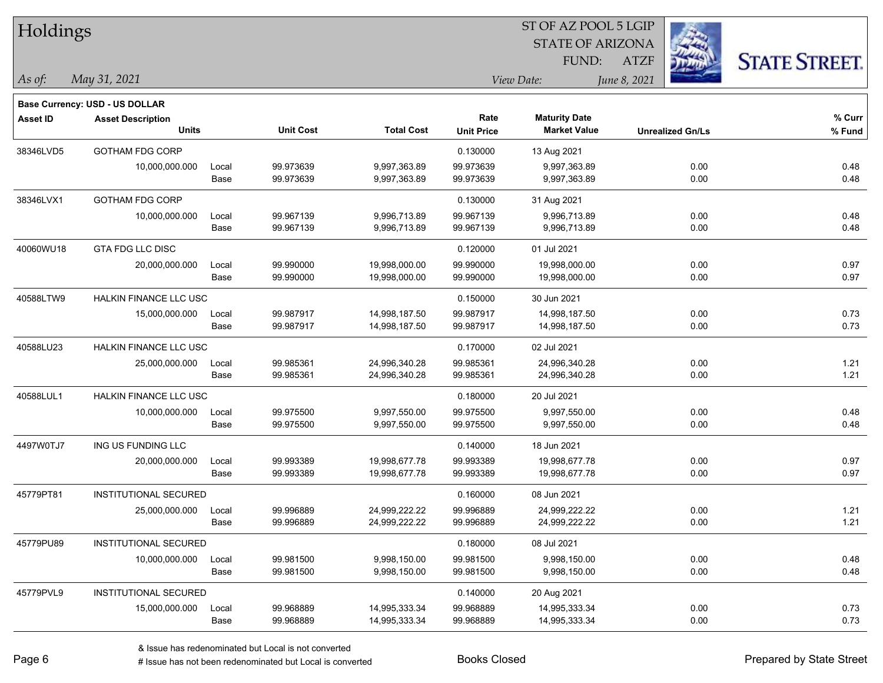| Holdings        |                                |       |                  | ST OF AZ POOL 5 LGIP |                   |                         |                         |                      |  |  |
|-----------------|--------------------------------|-------|------------------|----------------------|-------------------|-------------------------|-------------------------|----------------------|--|--|
|                 |                                |       |                  |                      |                   | <b>STATE OF ARIZONA</b> |                         |                      |  |  |
|                 |                                |       |                  |                      |                   | FUND:                   | <b>ATZF</b>             | <b>STATE STREET.</b> |  |  |
| As of:          | May 31, 2021                   |       |                  |                      |                   | View Date:              | June 8, 2021            |                      |  |  |
|                 | Base Currency: USD - US DOLLAR |       |                  |                      |                   |                         |                         |                      |  |  |
| <b>Asset ID</b> | <b>Asset Description</b>       |       |                  |                      | Rate              | <b>Maturity Date</b>    |                         | % Curr               |  |  |
|                 | <b>Units</b>                   |       | <b>Unit Cost</b> | <b>Total Cost</b>    | <b>Unit Price</b> | <b>Market Value</b>     | <b>Unrealized Gn/Ls</b> | % Fund               |  |  |
| 38346LVD5       | <b>GOTHAM FDG CORP</b>         |       |                  |                      | 0.130000          | 13 Aug 2021             |                         |                      |  |  |
|                 | 10,000,000.000                 | Local | 99.973639        | 9,997,363.89         | 99.973639         | 9,997,363.89            | 0.00                    | 0.48                 |  |  |
|                 |                                | Base  | 99.973639        | 9,997,363.89         | 99.973639         | 9,997,363.89            | 0.00                    | 0.48                 |  |  |
| 38346LVX1       | <b>GOTHAM FDG CORP</b>         |       |                  |                      | 0.130000          | 31 Aug 2021             |                         |                      |  |  |
|                 | 10,000,000.000                 | Local | 99.967139        | 9,996,713.89         | 99.967139         | 9,996,713.89            | 0.00                    | 0.48                 |  |  |
|                 |                                | Base  | 99.967139        | 9,996,713.89         | 99.967139         | 9,996,713.89            | 0.00                    | 0.48                 |  |  |
| 40060WU18       | <b>GTA FDG LLC DISC</b>        |       |                  |                      | 0.120000          | 01 Jul 2021             |                         |                      |  |  |
|                 | 20,000,000.000                 | Local | 99.990000        | 19,998,000.00        | 99.990000         | 19,998,000.00           | 0.00                    | 0.97                 |  |  |
|                 |                                | Base  | 99.990000        | 19,998,000.00        | 99.990000         | 19,998,000.00           | 0.00                    | 0.97                 |  |  |
| 40588LTW9       | HALKIN FINANCE LLC USC         |       |                  |                      | 0.150000          | 30 Jun 2021             |                         |                      |  |  |
|                 | 15,000,000.000                 | Local | 99.987917        | 14,998,187.50        | 99.987917         | 14,998,187.50           | 0.00                    | 0.73                 |  |  |
|                 |                                | Base  | 99.987917        | 14,998,187.50        | 99.987917         | 14,998,187.50           | 0.00                    | 0.73                 |  |  |
| 40588LU23       | HALKIN FINANCE LLC USC         |       |                  |                      | 0.170000          | 02 Jul 2021             |                         |                      |  |  |
|                 | 25,000,000.000                 | Local | 99.985361        | 24,996,340.28        | 99.985361         | 24,996,340.28           | 0.00                    | 1.21                 |  |  |
|                 |                                | Base  | 99.985361        | 24,996,340.28        | 99.985361         | 24,996,340.28           | 0.00                    | 1.21                 |  |  |
| 40588LUL1       | <b>HALKIN FINANCE LLC USC</b>  |       |                  |                      | 0.180000          | 20 Jul 2021             |                         |                      |  |  |
|                 | 10,000,000.000                 | Local | 99.975500        | 9,997,550.00         | 99.975500         | 9,997,550.00            | 0.00                    | 0.48                 |  |  |
|                 |                                | Base  | 99.975500        | 9,997,550.00         | 99.975500         | 9,997,550.00            | 0.00                    | 0.48                 |  |  |
| 4497W0TJ7       | ING US FUNDING LLC             |       |                  |                      | 0.140000          | 18 Jun 2021             |                         |                      |  |  |
|                 | 20,000,000.000                 | Local | 99.993389        | 19,998,677.78        | 99.993389         | 19,998,677.78           | 0.00                    | 0.97                 |  |  |
|                 |                                | Base  | 99.993389        | 19,998,677.78        | 99.993389         | 19,998,677.78           | 0.00                    | 0.97                 |  |  |
| 45779PT81       | <b>INSTITUTIONAL SECURED</b>   |       |                  |                      | 0.160000          | 08 Jun 2021             |                         |                      |  |  |
|                 | 25,000,000.000                 | Local | 99.996889        | 24,999,222.22        | 99.996889         | 24,999,222.22           | 0.00                    | 1.21                 |  |  |
|                 |                                | Base  | 99.996889        | 24,999,222.22        | 99.996889         | 24,999,222.22           | 0.00                    | 1.21                 |  |  |
| 45779PU89       | <b>INSTITUTIONAL SECURED</b>   |       |                  |                      | 0.180000          | 08 Jul 2021             |                         |                      |  |  |
|                 | 10,000,000.000                 | Local | 99.981500        | 9,998,150.00         | 99.981500         | 9,998,150.00            | 0.00                    | 0.48                 |  |  |
|                 |                                | Base  | 99.981500        | 9,998,150.00         | 99.981500         | 9,998,150.00            | 0.00                    | 0.48                 |  |  |
| 45779PVL9       | INSTITUTIONAL SECURED          |       |                  |                      | 0.140000          | 20 Aug 2021             |                         |                      |  |  |
|                 | 15,000,000.000                 | Local | 99.968889        | 14,995,333.34        | 99.968889         | 14,995,333.34           | 0.00                    | 0.73                 |  |  |
|                 |                                | Base  | 99.968889        | 14,995,333.34        | 99.968889         | 14,995,333.34           | 0.00                    | 0.73                 |  |  |

# Issue has not been redenominated but Local is converted Books Closed Prepared by State Street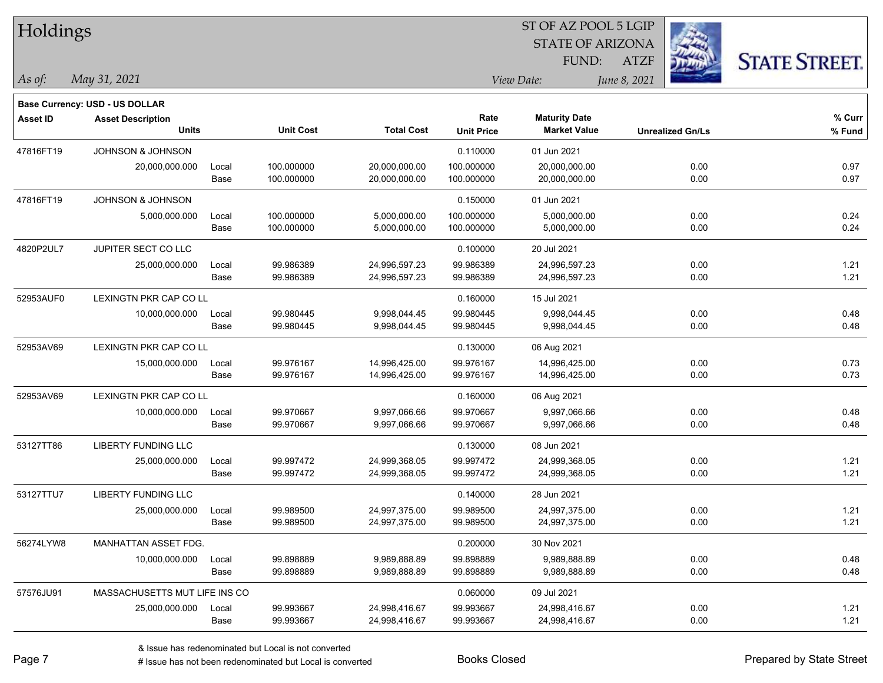| Holdings        |                                       |       |                  |                   |                   | ST OF AZ POOL 5 LGIP    |              |                         |                      |
|-----------------|---------------------------------------|-------|------------------|-------------------|-------------------|-------------------------|--------------|-------------------------|----------------------|
|                 |                                       |       |                  |                   |                   | <b>STATE OF ARIZONA</b> |              |                         |                      |
|                 |                                       |       |                  |                   |                   | FUND:                   | <b>ATZF</b>  |                         | <b>STATE STREET.</b> |
| As of:          | May 31, 2021                          |       |                  |                   |                   | View Date:              | June 8, 2021 |                         |                      |
|                 | <b>Base Currency: USD - US DOLLAR</b> |       |                  |                   |                   |                         |              |                         |                      |
| <b>Asset ID</b> | <b>Asset Description</b>              |       |                  |                   | Rate              | <b>Maturity Date</b>    |              |                         | % Curr               |
|                 | <b>Units</b>                          |       | <b>Unit Cost</b> | <b>Total Cost</b> | <b>Unit Price</b> | <b>Market Value</b>     |              | <b>Unrealized Gn/Ls</b> | % Fund               |
| 47816FT19       | <b>JOHNSON &amp; JOHNSON</b>          |       |                  |                   | 0.110000          | 01 Jun 2021             |              |                         |                      |
|                 | 20,000,000.000                        | Local | 100.000000       | 20,000,000.00     | 100.000000        | 20,000,000.00           |              | 0.00                    | 0.97                 |
|                 |                                       | Base  | 100.000000       | 20,000,000.00     | 100.000000        | 20,000,000.00           |              | 0.00                    | 0.97                 |
| 47816FT19       | JOHNSON & JOHNSON                     |       |                  |                   | 0.150000          | 01 Jun 2021             |              |                         |                      |
|                 | 5,000,000.000                         | Local | 100.000000       | 5,000,000.00      | 100.000000        | 5,000,000.00            |              | 0.00                    | 0.24                 |
|                 |                                       | Base  | 100.000000       | 5,000,000.00      | 100.000000        | 5,000,000.00            |              | 0.00                    | 0.24                 |
| 4820P2UL7       | JUPITER SECT CO LLC                   |       |                  |                   | 0.100000          | 20 Jul 2021             |              |                         |                      |
|                 | 25,000,000.000                        | Local | 99.986389        | 24,996,597.23     | 99.986389         | 24,996,597.23           |              | 0.00                    | 1.21                 |
|                 |                                       | Base  | 99.986389        | 24,996,597.23     | 99.986389         | 24,996,597.23           |              | 0.00                    | 1.21                 |
| 52953AUF0       | <b>LEXINGTN PKR CAP CO LL</b>         |       |                  |                   | 0.160000          | 15 Jul 2021             |              |                         |                      |
|                 | 10,000,000.000                        | Local | 99.980445        | 9,998,044.45      | 99.980445         | 9,998,044.45            |              | 0.00                    | 0.48                 |
|                 |                                       | Base  | 99.980445        | 9,998,044.45      | 99.980445         | 9,998,044.45            |              | 0.00                    | 0.48                 |
| 52953AV69       | LEXINGTN PKR CAP CO LL                |       |                  |                   | 0.130000          | 06 Aug 2021             |              |                         |                      |
|                 | 15,000,000.000                        | Local | 99.976167        | 14,996,425.00     | 99.976167         | 14,996,425.00           |              | 0.00                    | 0.73                 |
|                 |                                       | Base  | 99.976167        | 14,996,425.00     | 99.976167         | 14,996,425.00           |              | 0.00                    | 0.73                 |
| 52953AV69       | LEXINGTN PKR CAP CO LL                |       |                  |                   | 0.160000          | 06 Aug 2021             |              |                         |                      |
|                 | 10,000,000.000                        | Local | 99.970667        | 9,997,066.66      | 99.970667         | 9,997,066.66            |              | 0.00                    | 0.48                 |
|                 |                                       | Base  | 99.970667        | 9,997,066.66      | 99.970667         | 9,997,066.66            |              | 0.00                    | 0.48                 |
| 53127TT86       | <b>LIBERTY FUNDING LLC</b>            |       |                  |                   | 0.130000          | 08 Jun 2021             |              |                         |                      |
|                 | 25,000,000.000                        | Local | 99.997472        | 24,999,368.05     | 99.997472         | 24,999,368.05           |              | 0.00                    | 1.21                 |
|                 |                                       | Base  | 99.997472        | 24,999,368.05     | 99.997472         | 24,999,368.05           |              | 0.00                    | 1.21                 |
| 53127TTU7       | <b>LIBERTY FUNDING LLC</b>            |       |                  |                   | 0.140000          | 28 Jun 2021             |              |                         |                      |
|                 | 25,000,000.000                        | Local | 99.989500        | 24,997,375.00     | 99.989500         | 24,997,375.00           |              | 0.00                    | 1.21                 |
|                 |                                       | Base  | 99.989500        | 24,997,375.00     | 99.989500         | 24,997,375.00           |              | 0.00                    | 1.21                 |
| 56274LYW8       | MANHATTAN ASSET FDG.                  |       |                  |                   | 0.200000          | 30 Nov 2021             |              |                         |                      |
|                 | 10,000,000.000                        | Local | 99.898889        | 9,989,888.89      | 99.898889         | 9,989,888.89            |              | 0.00                    | 0.48                 |
|                 |                                       | Base  | 99.898889        | 9,989,888.89      | 99.898889         | 9,989,888.89            |              | 0.00                    | 0.48                 |
| 57576JU91       | MASSACHUSETTS MUT LIFE INS CO         |       |                  |                   | 0.060000          | 09 Jul 2021             |              |                         |                      |
|                 | 25,000,000.000                        | Local | 99.993667        | 24,998,416.67     | 99.993667         | 24,998,416.67           |              | 0.00                    | 1.21                 |
|                 |                                       | Base  | 99.993667        | 24,998,416.67     | 99.993667         | 24,998,416.67           |              | 0.00                    | 1.21                 |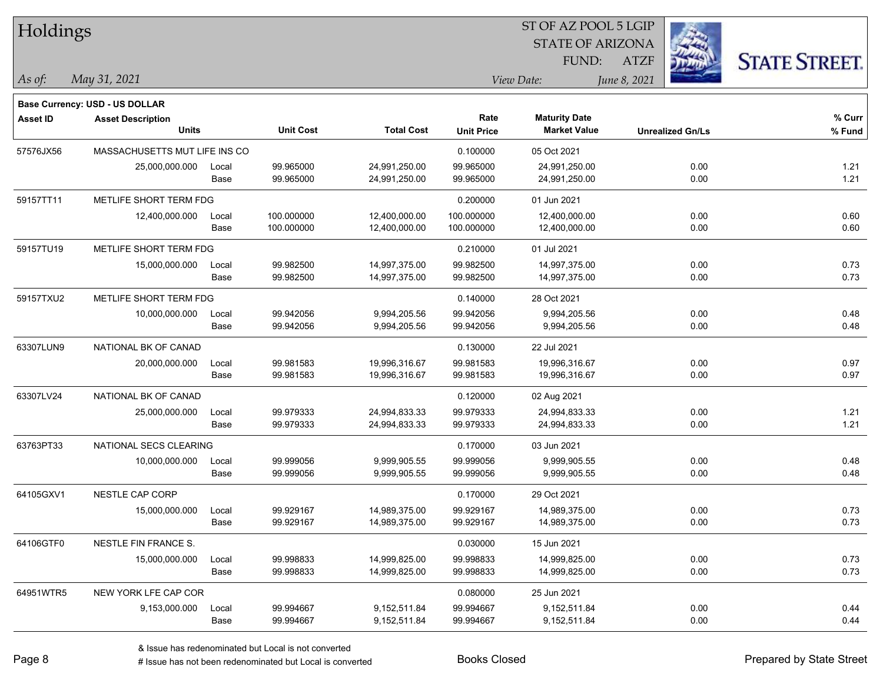| Holdings        |                                       |       |                  |                   | 51 OF AZ POOL 5 LGIP |                         |                         |                      |  |  |
|-----------------|---------------------------------------|-------|------------------|-------------------|----------------------|-------------------------|-------------------------|----------------------|--|--|
|                 |                                       |       |                  |                   |                      | <b>STATE OF ARIZONA</b> | i.                      |                      |  |  |
|                 |                                       |       |                  |                   |                      | FUND:                   | <b>ATZF</b>             | <b>STATE STREET.</b> |  |  |
| As of:          | May 31, 2021                          |       |                  |                   |                      | View Date:              | June 8, 2021            |                      |  |  |
|                 | <b>Base Currency: USD - US DOLLAR</b> |       |                  |                   |                      |                         |                         |                      |  |  |
| <b>Asset ID</b> | <b>Asset Description</b>              |       |                  |                   | Rate                 | <b>Maturity Date</b>    |                         | % Curr               |  |  |
|                 | <b>Units</b>                          |       | <b>Unit Cost</b> | <b>Total Cost</b> | <b>Unit Price</b>    | <b>Market Value</b>     | <b>Unrealized Gn/Ls</b> | % Fund               |  |  |
| 57576JX56       | MASSACHUSETTS MUT LIFE INS CO         |       |                  |                   | 0.100000             | 05 Oct 2021             |                         |                      |  |  |
|                 | 25,000,000.000                        | Local | 99.965000        | 24,991,250.00     | 99.965000            | 24,991,250.00           | 0.00                    | 1.21                 |  |  |
|                 |                                       | Base  | 99.965000        | 24,991,250.00     | 99.965000            | 24,991,250.00           | 0.00                    | 1.21                 |  |  |
| 59157TT11       | METLIFE SHORT TERM FDG                |       |                  |                   | 0.200000             | 01 Jun 2021             |                         |                      |  |  |
|                 | 12,400,000.000                        | Local | 100.000000       | 12,400,000.00     | 100.000000           | 12,400,000.00           | 0.00                    | 0.60                 |  |  |
|                 |                                       | Base  | 100.000000       | 12,400,000.00     | 100.000000           | 12,400,000.00           | 0.00                    | 0.60                 |  |  |
| 59157TU19       | METLIFE SHORT TERM FDG                |       |                  |                   | 0.210000             | 01 Jul 2021             |                         |                      |  |  |
|                 | 15,000,000.000                        | Local | 99.982500        | 14,997,375.00     | 99.982500            | 14,997,375.00           | 0.00                    | 0.73                 |  |  |
|                 |                                       | Base  | 99.982500        | 14,997,375.00     | 99.982500            | 14,997,375.00           | 0.00                    | 0.73                 |  |  |
| 59157TXU2       | METLIFE SHORT TERM FDG                |       |                  |                   | 0.140000             | 28 Oct 2021             |                         |                      |  |  |
|                 | 10,000,000.000                        | Local | 99.942056        | 9,994,205.56      | 99.942056            | 9,994,205.56            | 0.00                    | 0.48                 |  |  |
|                 |                                       | Base  | 99.942056        | 9,994,205.56      | 99.942056            | 9,994,205.56            | 0.00                    | 0.48                 |  |  |
| 63307LUN9       | NATIONAL BK OF CANAD                  |       |                  |                   | 0.130000             | 22 Jul 2021             |                         |                      |  |  |
|                 | 20,000,000.000                        | Local | 99.981583        | 19,996,316.67     | 99.981583            | 19,996,316.67           | 0.00                    | 0.97                 |  |  |
|                 |                                       | Base  | 99.981583        | 19,996,316.67     | 99.981583            | 19,996,316.67           | 0.00                    | 0.97                 |  |  |
| 63307LV24       | NATIONAL BK OF CANAD                  |       |                  |                   | 0.120000             | 02 Aug 2021             |                         |                      |  |  |
|                 | 25,000,000.000                        | Local | 99.979333        | 24,994,833.33     | 99.979333            | 24,994,833.33           | 0.00                    | 1.21                 |  |  |
|                 |                                       | Base  | 99.979333        | 24,994,833.33     | 99.979333            | 24,994,833.33           | 0.00                    | 1.21                 |  |  |
| 63763PT33       | NATIONAL SECS CLEARING                |       |                  |                   | 0.170000             | 03 Jun 2021             |                         |                      |  |  |
|                 | 10,000,000.000                        | Local | 99.999056        | 9,999,905.55      | 99.999056            | 9,999,905.55            | 0.00                    | 0.48                 |  |  |
|                 |                                       | Base  | 99.999056        | 9,999,905.55      | 99.999056            | 9,999,905.55            | 0.00                    | 0.48                 |  |  |
| 64105GXV1       | <b>NESTLE CAP CORP</b>                |       |                  |                   | 0.170000             | 29 Oct 2021             |                         |                      |  |  |
|                 | 15,000,000.000                        | Local | 99.929167        | 14,989,375.00     | 99.929167            | 14,989,375.00           | 0.00                    | 0.73                 |  |  |
|                 |                                       | Base  | 99.929167        | 14,989,375.00     | 99.929167            | 14,989,375.00           | 0.00                    | 0.73                 |  |  |
| 64106GTF0       | NESTLE FIN FRANCE S.                  |       |                  |                   | 0.030000             | 15 Jun 2021             |                         |                      |  |  |
|                 | 15,000,000.000                        | Local | 99.998833        | 14,999,825.00     | 99.998833            | 14,999,825.00           | 0.00                    | 0.73                 |  |  |
|                 |                                       | Base  | 99.998833        | 14,999,825.00     | 99.998833            | 14,999,825.00           | 0.00                    | 0.73                 |  |  |
| 64951WTR5       | NEW YORK LFE CAP COR                  |       |                  |                   | 0.080000             | 25 Jun 2021             |                         |                      |  |  |
|                 | 9,153,000.000                         | Local | 99.994667        | 9,152,511.84      | 99.994667            | 9,152,511.84            | 0.00                    | 0.44                 |  |  |
|                 |                                       | Base  | 99.994667        | 9,152,511.84      | 99.994667            | 9,152,511.84            | 0.00                    | 0.44                 |  |  |

 $ST$  OF AZ POOL 5 LGIP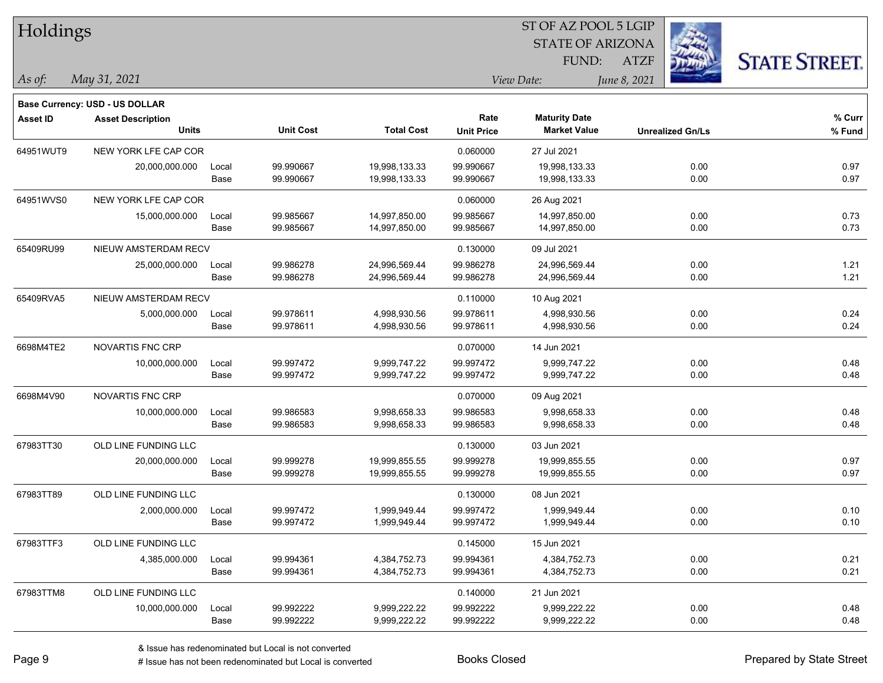| Holdings        |                                       |       |                  |                   | 51 OF AZ POOL 5 LGIP |                         |                         |                      |  |  |
|-----------------|---------------------------------------|-------|------------------|-------------------|----------------------|-------------------------|-------------------------|----------------------|--|--|
|                 |                                       |       |                  |                   |                      | <b>STATE OF ARIZONA</b> | i.                      |                      |  |  |
|                 |                                       |       |                  |                   |                      | FUND:                   | <b>ATZF</b>             | <b>STATE STREET.</b> |  |  |
| As of:          | May 31, 2021                          |       |                  |                   |                      | View Date:              | June 8, 2021            |                      |  |  |
|                 | <b>Base Currency: USD - US DOLLAR</b> |       |                  |                   |                      |                         |                         |                      |  |  |
| <b>Asset ID</b> | <b>Asset Description</b>              |       |                  |                   | Rate                 | <b>Maturity Date</b>    |                         | % Curr               |  |  |
|                 | <b>Units</b>                          |       | <b>Unit Cost</b> | <b>Total Cost</b> | <b>Unit Price</b>    | <b>Market Value</b>     | <b>Unrealized Gn/Ls</b> | % Fund               |  |  |
| 64951WUT9       | NEW YORK LFE CAP COR                  |       |                  |                   | 0.060000             | 27 Jul 2021             |                         |                      |  |  |
|                 | 20,000,000.000                        | Local | 99.990667        | 19,998,133.33     | 99.990667            | 19,998,133.33           | 0.00                    | 0.97                 |  |  |
|                 |                                       | Base  | 99.990667        | 19,998,133.33     | 99.990667            | 19,998,133.33           | 0.00                    | 0.97                 |  |  |
| 64951WVS0       | NEW YORK LFE CAP COR                  |       |                  |                   | 0.060000             | 26 Aug 2021             |                         |                      |  |  |
|                 | 15,000,000.000                        | Local | 99.985667        | 14,997,850.00     | 99.985667            | 14,997,850.00           | 0.00                    | 0.73                 |  |  |
|                 |                                       | Base  | 99.985667        | 14,997,850.00     | 99.985667            | 14,997,850.00           | 0.00                    | 0.73                 |  |  |
| 65409RU99       | NIEUW AMSTERDAM RECV                  |       |                  |                   | 0.130000             | 09 Jul 2021             |                         |                      |  |  |
|                 | 25,000,000.000                        | Local | 99.986278        | 24,996,569.44     | 99.986278            | 24,996,569.44           | 0.00                    | 1.21                 |  |  |
|                 |                                       | Base  | 99.986278        | 24,996,569.44     | 99.986278            | 24,996,569.44           | 0.00                    | 1.21                 |  |  |
| 65409RVA5       | NIEUW AMSTERDAM RECV                  |       |                  |                   | 0.110000             | 10 Aug 2021             |                         |                      |  |  |
|                 | 5,000,000.000                         | Local | 99.978611        | 4,998,930.56      | 99.978611            | 4,998,930.56            | 0.00                    | 0.24                 |  |  |
|                 |                                       | Base  | 99.978611        | 4,998,930.56      | 99.978611            | 4,998,930.56            | 0.00                    | 0.24                 |  |  |
| 6698M4TE2       | <b>NOVARTIS FNC CRP</b>               |       |                  |                   | 0.070000             | 14 Jun 2021             |                         |                      |  |  |
|                 | 10,000,000.000                        | Local | 99.997472        | 9,999,747.22      | 99.997472            | 9,999,747.22            | 0.00                    | 0.48                 |  |  |
|                 |                                       | Base  | 99.997472        | 9,999,747.22      | 99.997472            | 9,999,747.22            | 0.00                    | 0.48                 |  |  |
| 6698M4V90       | NOVARTIS FNC CRP                      |       |                  |                   | 0.070000             | 09 Aug 2021             |                         |                      |  |  |
|                 | 10,000,000.000                        | Local | 99.986583        | 9,998,658.33      | 99.986583            | 9,998,658.33            | 0.00                    | 0.48                 |  |  |
|                 |                                       | Base  | 99.986583        | 9,998,658.33      | 99.986583            | 9,998,658.33            | 0.00                    | 0.48                 |  |  |
| 67983TT30       | OLD LINE FUNDING LLC                  |       |                  |                   | 0.130000             | 03 Jun 2021             |                         |                      |  |  |
|                 | 20,000,000.000                        | Local | 99.999278        | 19,999,855.55     | 99.999278            | 19,999,855.55           | 0.00                    | 0.97                 |  |  |
|                 |                                       | Base  | 99.999278        | 19,999,855.55     | 99.999278            | 19,999,855.55           | 0.00                    | 0.97                 |  |  |
| 67983TT89       | OLD LINE FUNDING LLC                  |       |                  |                   | 0.130000             | 08 Jun 2021             |                         |                      |  |  |
|                 | 2,000,000.000                         | Local | 99.997472        | 1.999.949.44      | 99.997472            | 1,999,949.44            | 0.00                    | 0.10                 |  |  |
|                 |                                       | Base  | 99.997472        | 1,999,949.44      | 99.997472            | 1,999,949.44            | 0.00                    | 0.10                 |  |  |
| 67983TTF3       | OLD LINE FUNDING LLC                  |       |                  |                   | 0.145000             | 15 Jun 2021             |                         |                      |  |  |
|                 | 4,385,000.000                         | Local | 99.994361        | 4,384,752.73      | 99.994361            | 4,384,752.73            | 0.00                    | 0.21                 |  |  |
|                 |                                       | Base  | 99.994361        | 4,384,752.73      | 99.994361            | 4,384,752.73            | 0.00                    | 0.21                 |  |  |
| 67983TTM8       | OLD LINE FUNDING LLC                  |       |                  |                   | 0.140000             | 21 Jun 2021             |                         |                      |  |  |
|                 | 10,000,000.000                        | Local | 99.992222        | 9,999,222.22      | 99.992222            | 9,999,222.22            | 0.00                    | 0.48                 |  |  |
|                 |                                       | Base  | 99.992222        | 9,999,222.22      | 99.992222            | 9,999,222.22            | 0.00                    | 0.48                 |  |  |

 $ST$  OF AZ POOL 5 LGIP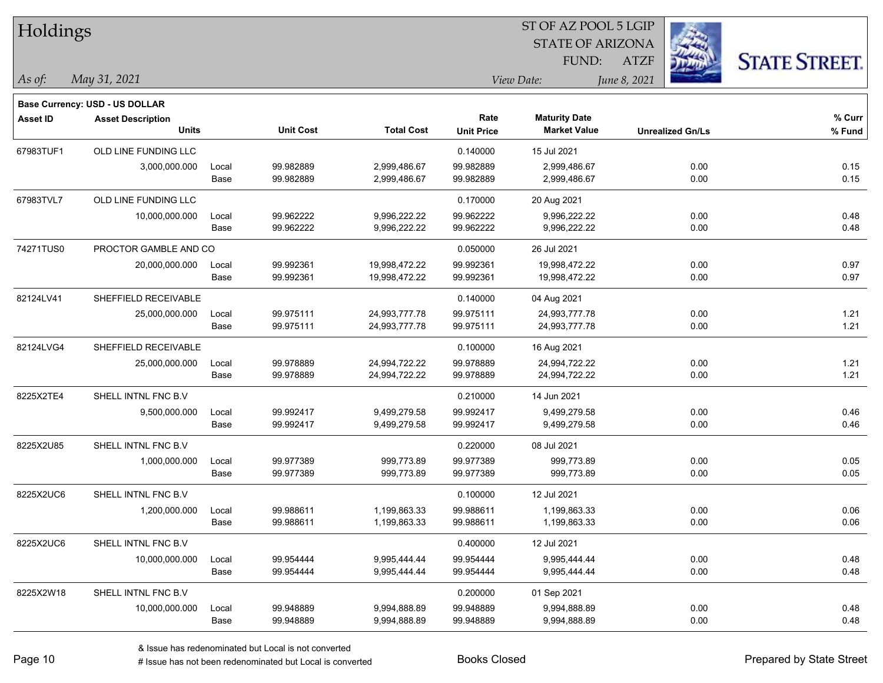| Holdings        |                                       |       | ST OF AZ POOL 5 LGIP |                   |                   |                         |              |                         |                      |  |
|-----------------|---------------------------------------|-------|----------------------|-------------------|-------------------|-------------------------|--------------|-------------------------|----------------------|--|
|                 |                                       |       |                      |                   |                   | <b>STATE OF ARIZONA</b> |              |                         |                      |  |
|                 |                                       |       |                      |                   |                   | FUND:                   | <b>ATZF</b>  |                         | <b>STATE STREET.</b> |  |
| As of:          | May 31, 2021                          |       |                      |                   |                   | View Date:              | June 8, 2021 |                         |                      |  |
|                 | <b>Base Currency: USD - US DOLLAR</b> |       |                      |                   |                   |                         |              |                         |                      |  |
| <b>Asset ID</b> | <b>Asset Description</b>              |       |                      |                   | Rate              | <b>Maturity Date</b>    |              |                         | % Curr               |  |
|                 | <b>Units</b>                          |       | <b>Unit Cost</b>     | <b>Total Cost</b> | <b>Unit Price</b> | <b>Market Value</b>     |              | <b>Unrealized Gn/Ls</b> | % Fund               |  |
| 67983TUF1       | OLD LINE FUNDING LLC                  |       |                      |                   | 0.140000          | 15 Jul 2021             |              |                         |                      |  |
|                 | 3,000,000.000                         | Local | 99.982889            | 2,999,486.67      | 99.982889         | 2,999,486.67            |              | 0.00                    | 0.15                 |  |
|                 |                                       | Base  | 99.982889            | 2,999,486.67      | 99.982889         | 2,999,486.67            |              | 0.00                    | 0.15                 |  |
| 67983TVL7       | OLD LINE FUNDING LLC                  |       |                      |                   | 0.170000          | 20 Aug 2021             |              |                         |                      |  |
|                 | 10,000,000.000                        | Local | 99.962222            | 9,996,222.22      | 99.962222         | 9,996,222.22            |              | 0.00                    | 0.48                 |  |
|                 |                                       | Base  | 99.962222            | 9,996,222.22      | 99.962222         | 9,996,222.22            |              | 0.00                    | 0.48                 |  |
| 74271TUS0       | PROCTOR GAMBLE AND CO                 |       |                      |                   | 0.050000          | 26 Jul 2021             |              |                         |                      |  |
|                 | 20,000,000.000                        | Local | 99.992361            | 19,998,472.22     | 99.992361         | 19,998,472.22           |              | 0.00                    | 0.97                 |  |
|                 |                                       | Base  | 99.992361            | 19,998,472.22     | 99.992361         | 19,998,472.22           |              | 0.00                    | 0.97                 |  |
| 82124LV41       | SHEFFIELD RECEIVABLE                  |       |                      |                   | 0.140000          | 04 Aug 2021             |              |                         |                      |  |
|                 | 25,000,000.000                        | Local | 99.975111            | 24,993,777.78     | 99.975111         | 24,993,777.78           |              | 0.00                    | 1.21                 |  |
|                 |                                       | Base  | 99.975111            | 24,993,777.78     | 99.975111         | 24,993,777.78           |              | 0.00                    | 1.21                 |  |
| 82124LVG4       | SHEFFIELD RECEIVABLE                  |       |                      |                   | 0.100000          | 16 Aug 2021             |              |                         |                      |  |
|                 | 25,000,000.000                        | Local | 99.978889            | 24,994,722.22     | 99.978889         | 24,994,722.22           |              | 0.00                    | 1.21                 |  |
|                 |                                       | Base  | 99.978889            | 24,994,722.22     | 99.978889         | 24,994,722.22           |              | 0.00                    | 1.21                 |  |
| 8225X2TE4       | SHELL INTNL FNC B.V                   |       |                      |                   | 0.210000          | 14 Jun 2021             |              |                         |                      |  |
|                 | 9,500,000.000                         | Local | 99.992417            | 9,499,279.58      | 99.992417         | 9,499,279.58            |              | 0.00                    | 0.46                 |  |
|                 |                                       | Base  | 99.992417            | 9,499,279.58      | 99.992417         | 9,499,279.58            |              | 0.00                    | 0.46                 |  |
| 8225X2U85       | SHELL INTNL FNC B.V                   |       |                      |                   | 0.220000          | 08 Jul 2021             |              |                         |                      |  |
|                 | 1,000,000.000                         | Local | 99.977389            | 999,773.89        | 99.977389         | 999,773.89              |              | 0.00                    | 0.05                 |  |
|                 |                                       | Base  | 99.977389            | 999,773.89        | 99.977389         | 999,773.89              |              | 0.00                    | 0.05                 |  |
| 8225X2UC6       | SHELL INTNL FNC B.V                   |       |                      |                   | 0.100000          | 12 Jul 2021             |              |                         |                      |  |
|                 | 1,200,000.000                         | Local | 99.988611            | 1,199,863.33      | 99.988611         | 1,199,863.33            |              | 0.00                    | 0.06                 |  |
|                 |                                       | Base  | 99.988611            | 1,199,863.33      | 99.988611         | 1,199,863.33            |              | 0.00                    | 0.06                 |  |
| 8225X2UC6       | SHELL INTNL FNC B.V                   |       |                      |                   | 0.400000          | 12 Jul 2021             |              |                         |                      |  |
|                 | 10,000,000.000                        | Local | 99.954444            | 9,995,444.44      | 99.954444         | 9,995,444.44            |              | 0.00                    | 0.48                 |  |
|                 |                                       | Base  | 99.954444            | 9,995,444.44      | 99.954444         | 9,995,444.44            |              | 0.00                    | 0.48                 |  |
| 8225X2W18       | SHELL INTNL FNC B.V                   |       |                      |                   | 0.200000          | 01 Sep 2021             |              |                         |                      |  |
|                 | 10,000,000.000                        | Local | 99.948889            | 9,994,888.89      | 99.948889         | 9,994,888.89            |              | 0.00                    | 0.48                 |  |
|                 |                                       | Base  | 99.948889            | 9,994,888.89      | 99.948889         | 9,994,888.89            |              | 0.00                    | 0.48                 |  |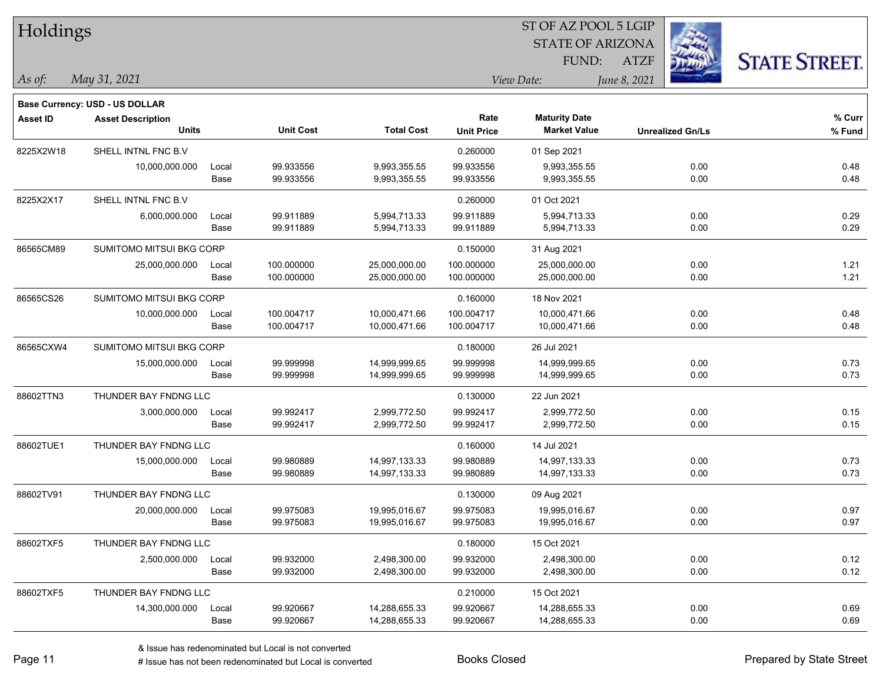| Holdings        |                                |       |                  | ST OF AZ POOL 5 LGIP |                   |                         |                         |                      |  |  |
|-----------------|--------------------------------|-------|------------------|----------------------|-------------------|-------------------------|-------------------------|----------------------|--|--|
|                 |                                |       |                  |                      |                   | <b>STATE OF ARIZONA</b> |                         |                      |  |  |
|                 |                                |       |                  |                      |                   | FUND:                   | <b>ATZF</b>             | <b>STATE STREET.</b> |  |  |
| As of:          | May 31, 2021                   |       |                  |                      |                   | View Date:              | June 8, 2021            |                      |  |  |
|                 | Base Currency: USD - US DOLLAR |       |                  |                      |                   |                         |                         |                      |  |  |
| <b>Asset ID</b> | <b>Asset Description</b>       |       |                  |                      | Rate              | <b>Maturity Date</b>    |                         | % Curr               |  |  |
|                 | <b>Units</b>                   |       | <b>Unit Cost</b> | <b>Total Cost</b>    | <b>Unit Price</b> | <b>Market Value</b>     | <b>Unrealized Gn/Ls</b> | % Fund               |  |  |
| 8225X2W18       | SHELL INTNL FNC B.V            |       |                  |                      | 0.260000          | 01 Sep 2021             |                         |                      |  |  |
|                 | 10,000,000.000                 | Local | 99.933556        | 9,993,355.55         | 99.933556         | 9,993,355.55            | 0.00                    | 0.48                 |  |  |
|                 |                                | Base  | 99.933556        | 9,993,355.55         | 99.933556         | 9,993,355.55            | 0.00                    | 0.48                 |  |  |
| 8225X2X17       | SHELL INTNL FNC B.V            |       |                  |                      | 0.260000          | 01 Oct 2021             |                         |                      |  |  |
|                 | 6,000,000.000                  | Local | 99.911889        | 5,994,713.33         | 99.911889         | 5,994,713.33            | 0.00                    | 0.29                 |  |  |
|                 |                                | Base  | 99.911889        | 5,994,713.33         | 99.911889         | 5,994,713.33            | 0.00                    | 0.29                 |  |  |
| 86565CM89       | SUMITOMO MITSUI BKG CORP       |       |                  |                      | 0.150000          | 31 Aug 2021             |                         |                      |  |  |
|                 | 25,000,000.000                 | Local | 100.000000       | 25,000,000.00        | 100.000000        | 25,000,000.00           | 0.00                    | 1.21                 |  |  |
|                 |                                | Base  | 100.000000       | 25,000,000.00        | 100.000000        | 25,000,000.00           | 0.00                    | 1.21                 |  |  |
| 86565CS26       | SUMITOMO MITSUI BKG CORP       |       |                  |                      | 0.160000          | 18 Nov 2021             |                         |                      |  |  |
|                 | 10,000,000.000                 | Local | 100.004717       | 10,000,471.66        | 100.004717        | 10,000,471.66           | 0.00                    | 0.48                 |  |  |
|                 |                                | Base  | 100.004717       | 10,000,471.66        | 100.004717        | 10,000,471.66           | 0.00                    | 0.48                 |  |  |
| 86565CXW4       | SUMITOMO MITSUI BKG CORP       |       |                  |                      | 0.180000          | 26 Jul 2021             |                         |                      |  |  |
|                 | 15,000,000.000                 | Local | 99.999998        | 14,999,999.65        | 99.999998         | 14,999,999.65           | 0.00                    | 0.73                 |  |  |
|                 |                                | Base  | 99.999998        | 14,999,999.65        | 99.999998         | 14,999,999.65           | 0.00                    | 0.73                 |  |  |
| 88602TTN3       | THUNDER BAY FNDNG LLC          |       |                  |                      | 0.130000          | 22 Jun 2021             |                         |                      |  |  |
|                 | 3,000,000.000                  | Local | 99.992417        | 2,999,772.50         | 99.992417         | 2,999,772.50            | 0.00                    | 0.15                 |  |  |
|                 |                                | Base  | 99.992417        | 2,999,772.50         | 99.992417         | 2,999,772.50            | 0.00                    | 0.15                 |  |  |
| 88602TUE1       | THUNDER BAY FNDNG LLC          |       |                  |                      | 0.160000          | 14 Jul 2021             |                         |                      |  |  |
|                 | 15,000,000.000                 | Local | 99.980889        | 14,997,133.33        | 99.980889         | 14,997,133.33           | 0.00                    | 0.73                 |  |  |
|                 |                                | Base  | 99.980889        | 14,997,133.33        | 99.980889         | 14,997,133.33           | 0.00                    | 0.73                 |  |  |
| 88602TV91       | THUNDER BAY FNDNG LLC          |       |                  |                      | 0.130000          | 09 Aug 2021             |                         |                      |  |  |
|                 | 20,000,000.000                 | Local | 99.975083        | 19,995,016.67        | 99.975083         | 19,995,016.67           | 0.00                    | 0.97                 |  |  |
|                 |                                | Base  | 99.975083        | 19,995,016.67        | 99.975083         | 19,995,016.67           | 0.00                    | 0.97                 |  |  |
| 88602TXF5       | THUNDER BAY FNDNG LLC          |       |                  |                      | 0.180000          | 15 Oct 2021             |                         |                      |  |  |
|                 | 2,500,000.000                  | Local | 99.932000        | 2,498,300.00         | 99.932000         | 2,498,300.00            | 0.00                    | 0.12                 |  |  |
|                 |                                | Base  | 99.932000        | 2,498,300.00         | 99.932000         | 2,498,300.00            | 0.00                    | 0.12                 |  |  |
| 88602TXF5       | THUNDER BAY FNDNG LLC          |       |                  |                      | 0.210000          | 15 Oct 2021             |                         |                      |  |  |
|                 | 14,300,000.000                 | Local | 99.920667        | 14,288,655.33        | 99.920667         | 14,288,655.33           | 0.00                    | 0.69                 |  |  |
|                 |                                | Base  | 99.920667        | 14,288,655.33        | 99.920667         | 14,288,655.33           | 0.00                    | 0.69                 |  |  |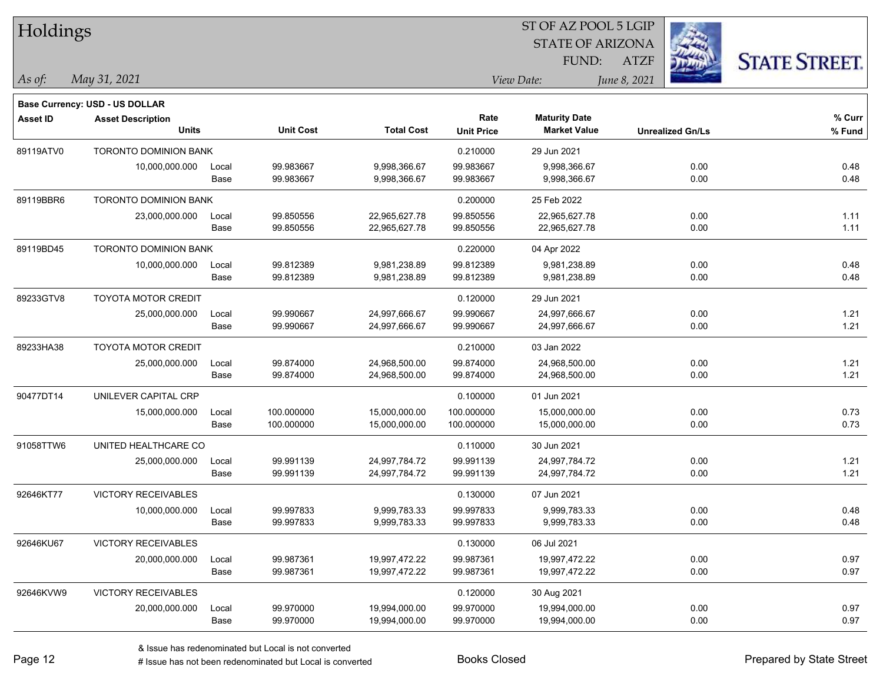| Holdings        |                                       |       |                  |                   |                   |                         | ST OF AZ POOL 5 LGIP |                         |                      |
|-----------------|---------------------------------------|-------|------------------|-------------------|-------------------|-------------------------|----------------------|-------------------------|----------------------|
|                 |                                       |       |                  |                   |                   | <b>STATE OF ARIZONA</b> |                      |                         |                      |
|                 |                                       |       |                  |                   |                   | FUND:                   | <b>ATZF</b>          |                         | <b>STATE STREET.</b> |
| As of:          | May 31, 2021                          |       |                  |                   |                   | View Date:              | June 8, 2021         |                         |                      |
|                 | <b>Base Currency: USD - US DOLLAR</b> |       |                  |                   |                   |                         |                      |                         |                      |
| <b>Asset ID</b> | <b>Asset Description</b>              |       |                  |                   | Rate              | <b>Maturity Date</b>    |                      |                         | % Curr               |
|                 | <b>Units</b>                          |       | <b>Unit Cost</b> | <b>Total Cost</b> | <b>Unit Price</b> | <b>Market Value</b>     |                      | <b>Unrealized Gn/Ls</b> | % Fund               |
| 89119ATV0       | <b>TORONTO DOMINION BANK</b>          |       |                  |                   | 0.210000          | 29 Jun 2021             |                      |                         |                      |
|                 | 10,000,000.000                        | Local | 99.983667        | 9,998,366.67      | 99.983667         | 9,998,366.67            |                      | 0.00                    | 0.48                 |
|                 |                                       | Base  | 99.983667        | 9,998,366.67      | 99.983667         | 9,998,366.67            |                      | 0.00                    | 0.48                 |
| 89119BBR6       | <b>TORONTO DOMINION BANK</b>          |       |                  |                   | 0.200000          | 25 Feb 2022             |                      |                         |                      |
|                 | 23,000,000.000                        | Local | 99.850556        | 22,965,627.78     | 99.850556         | 22,965,627.78           |                      | 0.00                    | 1.11                 |
|                 |                                       | Base  | 99.850556        | 22,965,627.78     | 99.850556         | 22,965,627.78           |                      | 0.00                    | 1.11                 |
| 89119BD45       | <b>TORONTO DOMINION BANK</b>          |       |                  |                   | 0.220000          | 04 Apr 2022             |                      |                         |                      |
|                 | 10,000,000.000                        | Local | 99.812389        | 9,981,238.89      | 99.812389         | 9,981,238.89            |                      | 0.00                    | 0.48                 |
|                 |                                       | Base  | 99.812389        | 9,981,238.89      | 99.812389         | 9,981,238.89            |                      | 0.00                    | 0.48                 |
| 89233GTV8       | <b>TOYOTA MOTOR CREDIT</b>            |       |                  |                   | 0.120000          | 29 Jun 2021             |                      |                         |                      |
|                 | 25,000,000.000                        | Local | 99.990667        | 24,997,666.67     | 99.990667         | 24,997,666.67           |                      | 0.00                    | 1.21                 |
|                 |                                       | Base  | 99.990667        | 24,997,666.67     | 99.990667         | 24,997,666.67           |                      | 0.00                    | 1.21                 |
| 89233HA38       | <b>TOYOTA MOTOR CREDIT</b>            |       |                  |                   | 0.210000          | 03 Jan 2022             |                      |                         |                      |
|                 | 25,000,000.000                        | Local | 99.874000        | 24,968,500.00     | 99.874000         | 24,968,500.00           |                      | 0.00                    | 1.21                 |
|                 |                                       | Base  | 99.874000        | 24,968,500.00     | 99.874000         | 24,968,500.00           |                      | 0.00                    | 1.21                 |
| 90477DT14       | UNILEVER CAPITAL CRP                  |       |                  |                   | 0.100000          | 01 Jun 2021             |                      |                         |                      |
|                 | 15,000,000.000                        | Local | 100.000000       | 15,000,000.00     | 100.000000        | 15,000,000.00           |                      | 0.00                    | 0.73                 |
|                 |                                       | Base  | 100.000000       | 15,000,000.00     | 100.000000        | 15,000,000.00           |                      | 0.00                    | 0.73                 |
| 91058TTW6       | UNITED HEALTHCARE CO                  |       |                  |                   | 0.110000          | 30 Jun 2021             |                      |                         |                      |
|                 | 25,000,000.000                        | Local | 99.991139        | 24,997,784.72     | 99.991139         | 24,997,784.72           |                      | 0.00                    | 1.21                 |
|                 |                                       | Base  | 99.991139        | 24,997,784.72     | 99.991139         | 24,997,784.72           |                      | 0.00                    | 1.21                 |
| 92646KT77       | VICTORY RECEIVABLES                   |       |                  |                   | 0.130000          | 07 Jun 2021             |                      |                         |                      |
|                 | 10,000,000.000                        | Local | 99.997833        | 9,999,783.33      | 99.997833         | 9,999,783.33            |                      | 0.00                    | 0.48                 |
|                 |                                       | Base  | 99.997833        | 9,999,783.33      | 99.997833         | 9,999,783.33            |                      | 0.00                    | 0.48                 |
| 92646KU67       | <b>VICTORY RECEIVABLES</b>            |       |                  |                   | 0.130000          | 06 Jul 2021             |                      |                         |                      |
|                 | 20,000,000.000                        | Local | 99.987361        | 19,997,472.22     | 99.987361         | 19,997,472.22           |                      | 0.00                    | 0.97                 |
|                 |                                       | Base  | 99.987361        | 19,997,472.22     | 99.987361         | 19,997,472.22           |                      | 0.00                    | 0.97                 |
| 92646KVW9       | <b>VICTORY RECEIVABLES</b>            |       |                  |                   | 0.120000          | 30 Aug 2021             |                      |                         |                      |
|                 | 20,000,000.000                        | Local | 99.970000        | 19,994,000.00     | 99.970000         | 19,994,000.00           |                      | 0.00                    | 0.97                 |
|                 |                                       | Base  | 99.970000        | 19,994,000.00     | 99.970000         | 19,994,000.00           |                      | 0.00                    | 0.97                 |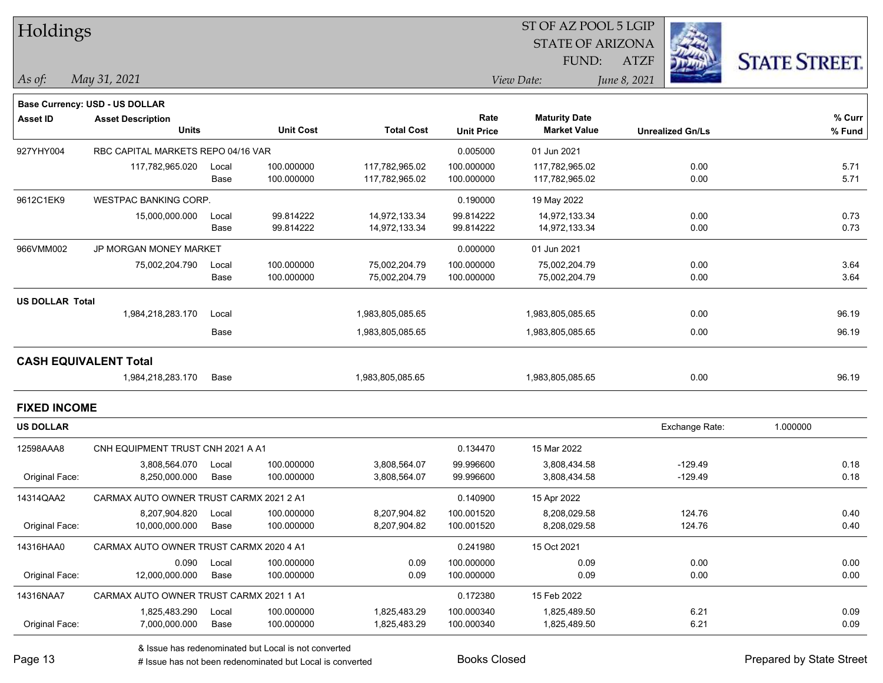| Holdings                     |                                         |       |                  |                   |                   |                         | ST OF AZ POOL 5 LGIP |                         |                      |
|------------------------------|-----------------------------------------|-------|------------------|-------------------|-------------------|-------------------------|----------------------|-------------------------|----------------------|
|                              |                                         |       |                  |                   |                   | <b>STATE OF ARIZONA</b> |                      |                         |                      |
|                              |                                         |       |                  |                   |                   | FUND:                   | <b>ATZF</b>          |                         | <b>STATE STREET.</b> |
| As of:                       | May 31, 2021                            |       |                  |                   |                   | View Date:              | June 8, 2021         |                         |                      |
|                              |                                         |       |                  |                   |                   |                         |                      |                         |                      |
|                              | Base Currency: USD - US DOLLAR          |       |                  |                   | Rate              | <b>Maturity Date</b>    |                      |                         | % Curr               |
| <b>Asset ID</b>              | <b>Asset Description</b><br>Units       |       | <b>Unit Cost</b> | <b>Total Cost</b> | <b>Unit Price</b> | <b>Market Value</b>     |                      | <b>Unrealized Gn/Ls</b> | % Fund               |
| 927YHY004                    | RBC CAPITAL MARKETS REPO 04/16 VAR      |       |                  |                   | 0.005000          | 01 Jun 2021             |                      |                         |                      |
|                              | 117,782,965.020                         | Local | 100.000000       | 117,782,965.02    | 100.000000        | 117,782,965.02          |                      | 0.00                    | 5.71                 |
|                              |                                         | Base  | 100.000000       | 117,782,965.02    | 100.000000        | 117,782,965.02          |                      | 0.00                    | 5.71                 |
| 9612C1EK9                    | <b>WESTPAC BANKING CORP.</b>            |       |                  |                   | 0.190000          | 19 May 2022             |                      |                         |                      |
|                              | 15,000,000.000                          | Local | 99.814222        | 14,972,133.34     | 99.814222         | 14,972,133.34           |                      | 0.00                    | 0.73                 |
|                              |                                         | Base  | 99.814222        | 14,972,133.34     | 99.814222         | 14,972,133.34           |                      | 0.00                    | 0.73                 |
| 966VMM002                    | JP MORGAN MONEY MARKET                  |       |                  |                   | 0.000000          | 01 Jun 2021             |                      |                         |                      |
|                              | 75,002,204.790                          | Local | 100.000000       | 75,002,204.79     | 100.000000        | 75,002,204.79           |                      | 0.00                    | 3.64                 |
|                              |                                         | Base  | 100.000000       | 75,002,204.79     | 100.000000        | 75,002,204.79           |                      | 0.00                    | 3.64                 |
| <b>US DOLLAR Total</b>       |                                         |       |                  |                   |                   |                         |                      |                         |                      |
|                              | 1,984,218,283.170                       | Local |                  | 1,983,805,085.65  |                   | 1,983,805,085.65        |                      | 0.00                    | 96.19                |
|                              |                                         | Base  |                  | 1,983,805,085.65  |                   | 1,983,805,085.65        |                      | 0.00                    | 96.19                |
| <b>CASH EQUIVALENT Total</b> |                                         |       |                  |                   |                   |                         |                      |                         |                      |
|                              | 1,984,218,283.170                       | Base  |                  | 1,983,805,085.65  |                   | 1,983,805,085.65        |                      | 0.00                    | 96.19                |
| <b>FIXED INCOME</b>          |                                         |       |                  |                   |                   |                         |                      |                         |                      |
| <b>US DOLLAR</b>             |                                         |       |                  |                   |                   |                         |                      | Exchange Rate:          | 1.000000             |
| 12598AAA8                    | CNH EQUIPMENT TRUST CNH 2021 A A1       |       |                  |                   | 0.134470          | 15 Mar 2022             |                      |                         |                      |
|                              | 3,808,564.070                           | Local | 100.000000       | 3,808,564.07      | 99.996600         | 3,808,434.58            |                      | $-129.49$               | 0.18                 |
| Original Face:               | 8,250,000.000                           | Base  | 100.000000       | 3,808,564.07      | 99.996600         | 3,808,434.58            |                      | $-129.49$               | 0.18                 |
| 14314QAA2                    | CARMAX AUTO OWNER TRUST CARMX 2021 2 A1 |       |                  |                   | 0.140900          | 15 Apr 2022             |                      |                         |                      |
|                              | 8,207,904.820                           | Local | 100.000000       | 8,207,904.82      | 100.001520        | 8,208,029.58            |                      | 124.76                  | 0.40                 |
| Original Face:               | 10,000,000.000                          | Base  | 100.000000       | 8,207,904.82      | 100.001520        | 8,208,029.58            |                      | 124.76                  | 0.40                 |
| 14316HAA0                    | CARMAX AUTO OWNER TRUST CARMX 2020 4 A1 |       |                  |                   | 0.241980          | 15 Oct 2021             |                      |                         |                      |
|                              | 0.090                                   | Local | 100.000000       | 0.09              | 100.000000        | 0.09                    |                      | 0.00                    | 0.00                 |
| Original Face:               | 12,000,000.000                          | Base  | 100.000000       | 0.09              | 100.000000        | 0.09                    |                      | 0.00                    | 0.00                 |
| 14316NAA7                    | CARMAX AUTO OWNER TRUST CARMX 2021 1 A1 |       |                  |                   | 0.172380          | 15 Feb 2022             |                      |                         |                      |
|                              | 1,825,483.290                           | Local | 100.000000       | 1,825,483.29      | 100.000340        | 1,825,489.50            |                      | 6.21                    | 0.09                 |
| Original Face:               | 7,000,000.000                           | Base  | 100.000000       | 1,825,483.29      | 100.000340        | 1,825,489.50            |                      | 6.21                    | 0.09                 |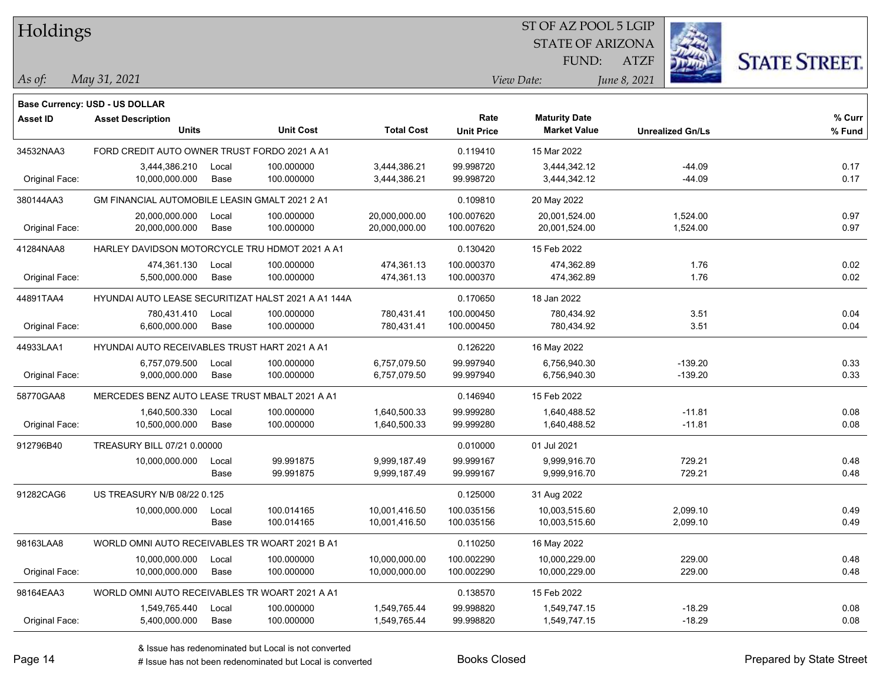| Holdings        |                                                     |       |                  |                   |                   | ST OF AZ POOL 5 LGIP    |                         |                      |
|-----------------|-----------------------------------------------------|-------|------------------|-------------------|-------------------|-------------------------|-------------------------|----------------------|
|                 |                                                     |       |                  |                   |                   | <b>STATE OF ARIZONA</b> |                         |                      |
|                 |                                                     |       |                  |                   |                   | FUND:                   | <b>ATZF</b>             | <b>STATE STREET.</b> |
| As of:          | May 31, 2021                                        |       |                  |                   |                   | View Date:              | June 8, 2021            |                      |
|                 | <b>Base Currency: USD - US DOLLAR</b>               |       |                  |                   |                   |                         |                         |                      |
| <b>Asset ID</b> | <b>Asset Description</b>                            |       |                  |                   | Rate              | <b>Maturity Date</b>    |                         | % Curr               |
|                 | <b>Units</b>                                        |       | <b>Unit Cost</b> | <b>Total Cost</b> | <b>Unit Price</b> | <b>Market Value</b>     | <b>Unrealized Gn/Ls</b> | % Fund               |
| 34532NAA3       | FORD CREDIT AUTO OWNER TRUST FORDO 2021 A A1        |       |                  |                   | 0.119410          | 15 Mar 2022             |                         |                      |
|                 | 3,444,386.210                                       | Local | 100.000000       | 3,444,386.21      | 99.998720         | 3,444,342.12            | $-44.09$                | 0.17                 |
| Original Face:  | 10,000,000.000                                      | Base  | 100.000000       | 3,444,386.21      | 99.998720         | 3,444,342.12            | $-44.09$                | 0.17                 |
| 380144AA3       | GM FINANCIAL AUTOMOBILE LEASIN GMALT 2021 2 A1      |       |                  |                   | 0.109810          | 20 May 2022             |                         |                      |
|                 | 20,000,000.000                                      | Local | 100.000000       | 20,000,000.00     | 100.007620        | 20,001,524.00           | 1,524.00                | 0.97                 |
| Original Face:  | 20,000,000.000                                      | Base  | 100.000000       | 20,000,000.00     | 100.007620        | 20,001,524.00           | 1,524.00                | 0.97                 |
| 41284NAA8       | HARLEY DAVIDSON MOTORCYCLE TRU HDMOT 2021 A A1      |       |                  |                   | 0.130420          | 15 Feb 2022             |                         |                      |
|                 | 474,361.130                                         | Local | 100.000000       | 474,361.13        | 100.000370        | 474,362.89              | 1.76                    | 0.02                 |
| Original Face:  | 5,500,000.000                                       | Base  | 100.000000       | 474,361.13        | 100.000370        | 474,362.89              | 1.76                    | 0.02                 |
| 44891TAA4       | HYUNDAI AUTO LEASE SECURITIZAT HALST 2021 A A1 144A |       |                  |                   | 0.170650          | 18 Jan 2022             |                         |                      |
|                 | 780,431.410                                         | Local | 100.000000       | 780,431.41        | 100.000450        | 780,434.92              | 3.51                    | 0.04                 |
| Original Face:  | 6,600,000.000                                       | Base  | 100.000000       | 780,431.41        | 100.000450        | 780,434.92              | 3.51                    | 0.04                 |
| 44933LAA1       | HYUNDAI AUTO RECEIVABLES TRUST HART 2021 A A1       |       |                  |                   | 0.126220          | 16 May 2022             |                         |                      |
|                 | 6,757,079.500                                       | Local | 100.000000       | 6,757,079.50      | 99.997940         | 6,756,940.30            | $-139.20$               | 0.33                 |
| Original Face:  | 9,000,000.000                                       | Base  | 100.000000       | 6,757,079.50      | 99.997940         | 6,756,940.30            | $-139.20$               | 0.33                 |
| 58770GAA8       | MERCEDES BENZ AUTO LEASE TRUST MBALT 2021 A A1      |       |                  |                   | 0.146940          | 15 Feb 2022             |                         |                      |
|                 | 1,640,500.330                                       | Local | 100.000000       | 1,640,500.33      | 99.999280         | 1,640,488.52            | $-11.81$                | 0.08                 |
| Original Face:  | 10,500,000.000                                      | Base  | 100.000000       | 1,640,500.33      | 99.999280         | 1,640,488.52            | $-11.81$                | 0.08                 |
| 912796B40       | TREASURY BILL 07/21 0.00000                         |       |                  |                   | 0.010000          | 01 Jul 2021             |                         |                      |
|                 | 10,000,000.000                                      | Local | 99.991875        | 9,999,187.49      | 99.999167         | 9,999,916.70            | 729.21                  | 0.48                 |
|                 |                                                     | Base  | 99.991875        | 9,999,187.49      | 99.999167         | 9,999,916.70            | 729.21                  | 0.48                 |
| 91282CAG6       | US TREASURY N/B 08/22 0.125                         |       |                  |                   | 0.125000          | 31 Aug 2022             |                         |                      |
|                 | 10,000,000.000                                      | Local | 100.014165       | 10,001,416.50     | 100.035156        | 10,003,515.60           | 2,099.10                | 0.49                 |
|                 |                                                     | Base  | 100.014165       | 10,001,416.50     | 100.035156        | 10,003,515.60           | 2,099.10                | 0.49                 |
| 98163LAA8       | WORLD OMNI AUTO RECEIVABLES TR WOART 2021 B A1      |       |                  |                   | 0.110250          | 16 May 2022             |                         |                      |
|                 | 10,000,000.000                                      | Local | 100.000000       | 10,000,000.00     | 100.002290        | 10,000,229.00           | 229.00                  | 0.48                 |
| Original Face:  | 10,000,000.000                                      | Base  | 100.000000       | 10,000,000.00     | 100.002290        | 10,000,229.00           | 229.00                  | 0.48                 |
| 98164EAA3       | WORLD OMNI AUTO RECEIVABLES TR WOART 2021 A A1      |       |                  |                   | 0.138570          | 15 Feb 2022             |                         |                      |
|                 | 1,549,765.440                                       | Local | 100.000000       | 1,549,765.44      | 99.998820         | 1,549,747.15            | $-18.29$                | 0.08                 |
| Original Face:  | 5,400,000.000                                       | Base  | 100.000000       | 1,549,765.44      | 99.998820         | 1,549,747.15            | $-18.29$                | 0.08                 |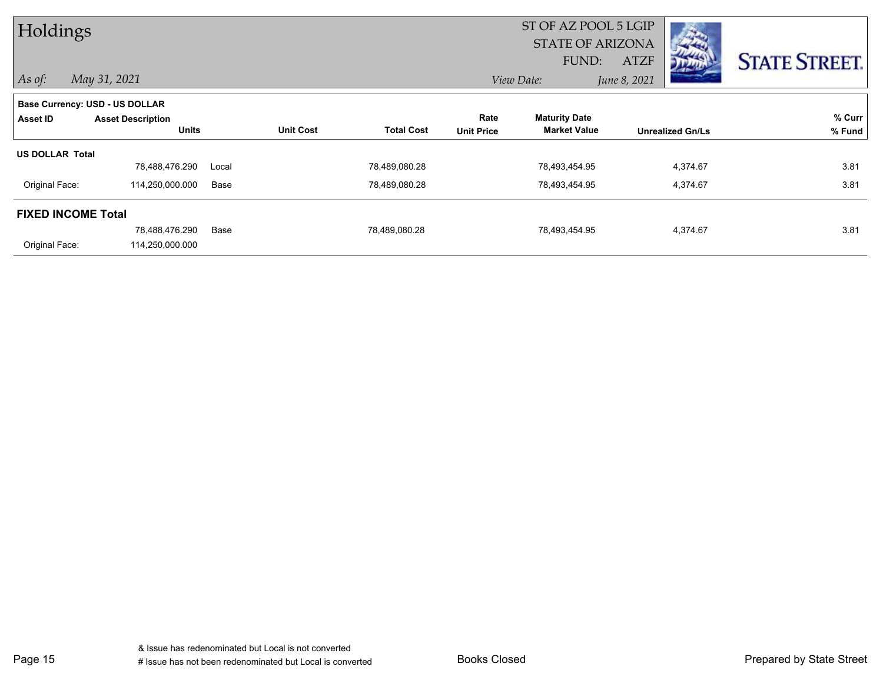| Holdings                              |                          |       |                  |                   |                   | ST OF AZ POOL 5 LGIP    |              |                         |                      |
|---------------------------------------|--------------------------|-------|------------------|-------------------|-------------------|-------------------------|--------------|-------------------------|----------------------|
|                                       |                          |       |                  |                   |                   | <b>STATE OF ARIZONA</b> |              |                         |                      |
|                                       |                          |       |                  |                   |                   | FUND:                   | ATZF         |                         | <b>STATE STREET.</b> |
| $ $ As of:                            | May 31, 2021             |       |                  |                   |                   | View Date:              | June 8, 2021 |                         |                      |
| <b>Base Currency: USD - US DOLLAR</b> |                          |       |                  |                   |                   |                         |              |                         |                      |
| Asset ID                              | <b>Asset Description</b> |       |                  |                   | Rate              | <b>Maturity Date</b>    |              |                         | % Curr               |
|                                       | <b>Units</b>             |       | <b>Unit Cost</b> | <b>Total Cost</b> | <b>Unit Price</b> | <b>Market Value</b>     |              | <b>Unrealized Gn/Ls</b> | % Fund               |
| <b>US DOLLAR Total</b>                |                          |       |                  |                   |                   |                         |              |                         |                      |
|                                       | 78,488,476.290           | Local |                  | 78,489,080.28     |                   | 78,493,454.95           |              | 4,374.67                | 3.81                 |
| Original Face:                        | 114,250,000.000          | Base  |                  | 78,489,080.28     |                   | 78,493,454.95           |              | 4,374.67                | 3.81                 |
| <b>FIXED INCOME Total</b>             |                          |       |                  |                   |                   |                         |              |                         |                      |
|                                       | 78,488,476.290           | Base  |                  | 78,489,080.28     |                   | 78,493,454.95           |              | 4,374.67                | 3.81                 |
| Original Face:                        | 114,250,000.000          |       |                  |                   |                   |                         |              |                         |                      |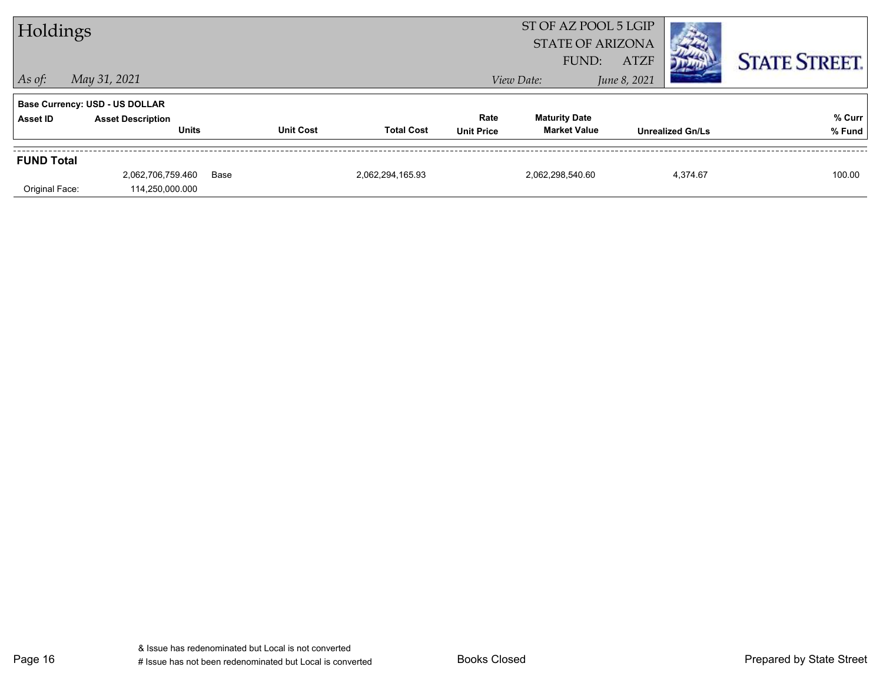| Holdings          |                                       |      |                  | ST OF AZ POOL 5 LGIP<br><b>STATE OF ARIZONA</b> |                   |                      |              |                         |                      |
|-------------------|---------------------------------------|------|------------------|-------------------------------------------------|-------------------|----------------------|--------------|-------------------------|----------------------|
|                   |                                       |      |                  |                                                 |                   | FUND:                | <b>ATZF</b>  |                         | <b>STATE STREET.</b> |
| $ $ As of:        | May 31, 2021                          |      |                  |                                                 |                   | View Date:           | June 8, 2021 |                         |                      |
|                   | <b>Base Currency: USD - US DOLLAR</b> |      |                  |                                                 |                   |                      |              |                         |                      |
| Asset ID          | <b>Asset Description</b>              |      |                  |                                                 | Rate              | <b>Maturity Date</b> |              |                         | % Curr               |
|                   | <b>Units</b>                          |      | <b>Unit Cost</b> | <b>Total Cost</b>                               | <b>Unit Price</b> | <b>Market Value</b>  |              | <b>Unrealized Gn/Ls</b> | % Fund               |
| <b>FUND Total</b> |                                       |      |                  |                                                 |                   |                      |              |                         |                      |
|                   | 2,062,706,759.460                     | Base |                  | 2,062,294,165.93                                |                   | 2,062,298,540.60     |              | 4,374.67                | 100.00               |
| Original Face:    | 114,250,000.000                       |      |                  |                                                 |                   |                      |              |                         |                      |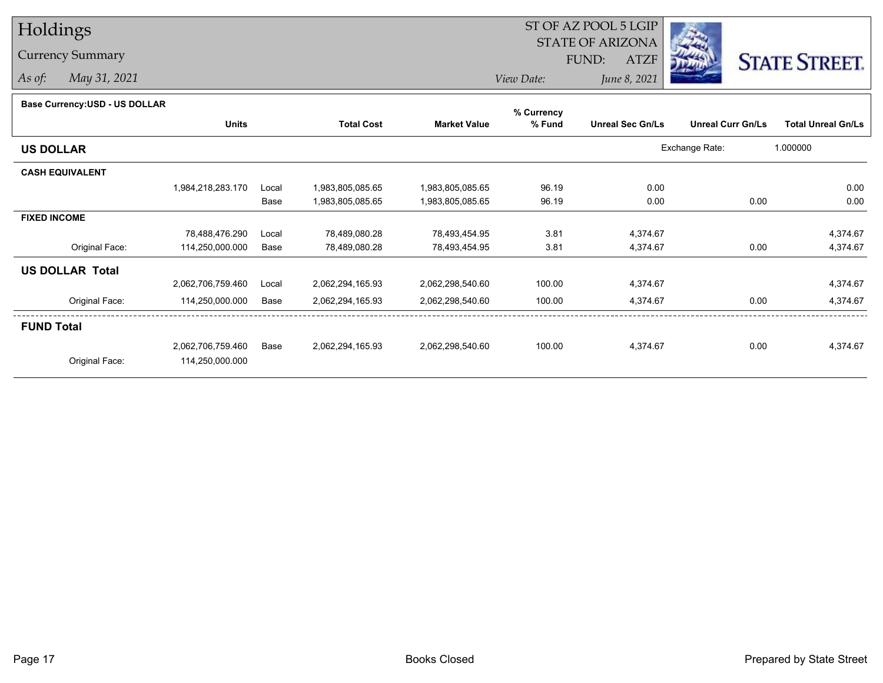## Holdings

## Currency Summary

*As of: May 31, 2021*

## ST OF AZ POOL 5 LGIP STATE OF ARIZONAATZF FUND:



*View Date:June 8, 2021*

|  | Base Currency: USD - US DOLLAR |
|--|--------------------------------|
|--|--------------------------------|

| Dase Ourlelicy.OOD - OO DOLLAR | <b>Units</b>      |       | <b>Total Cost</b> | <b>Market Value</b> | % Currency<br>% Fund | <b>Unreal Sec Gn/Ls</b> | <b>Unreal Curr Gn/Ls</b> | <b>Total Unreal Gn/Ls</b> |
|--------------------------------|-------------------|-------|-------------------|---------------------|----------------------|-------------------------|--------------------------|---------------------------|
| <b>US DOLLAR</b>               |                   |       |                   |                     |                      |                         | Exchange Rate:           | 1.000000                  |
| <b>CASH EQUIVALENT</b>         |                   |       |                   |                     |                      |                         |                          |                           |
|                                | 1,984,218,283.170 | Local | 1,983,805,085.65  | 1,983,805,085.65    | 96.19                | 0.00                    |                          | 0.00                      |
|                                |                   | Base  | 1,983,805,085.65  | 1,983,805,085.65    | 96.19                | 0.00                    | 0.00                     | 0.00                      |
| <b>FIXED INCOME</b>            |                   |       |                   |                     |                      |                         |                          |                           |
|                                | 78,488,476.290    | Local | 78,489,080.28     | 78,493,454.95       | 3.81                 | 4,374.67                |                          | 4,374.67                  |
| Original Face:                 | 114,250,000.000   | Base  | 78,489,080.28     | 78,493,454.95       | 3.81                 | 4,374.67                | 0.00                     | 4,374.67                  |
| <b>US DOLLAR Total</b>         |                   |       |                   |                     |                      |                         |                          |                           |
|                                | 2,062,706,759.460 | Local | 2,062,294,165.93  | 2,062,298,540.60    | 100.00               | 4,374.67                |                          | 4,374.67                  |
| Original Face:                 | 114,250,000.000   | Base  | 2,062,294,165.93  | 2,062,298,540.60    | 100.00               | 4,374.67                | 0.00                     | 4,374.67                  |
| <b>FUND Total</b>              |                   |       |                   |                     |                      |                         |                          |                           |
|                                | 2,062,706,759.460 | Base  | 2,062,294,165.93  | 2,062,298,540.60    | 100.00               | 4,374.67                | 0.00                     | 4,374.67                  |
| Original Face:                 | 114,250,000.000   |       |                   |                     |                      |                         |                          |                           |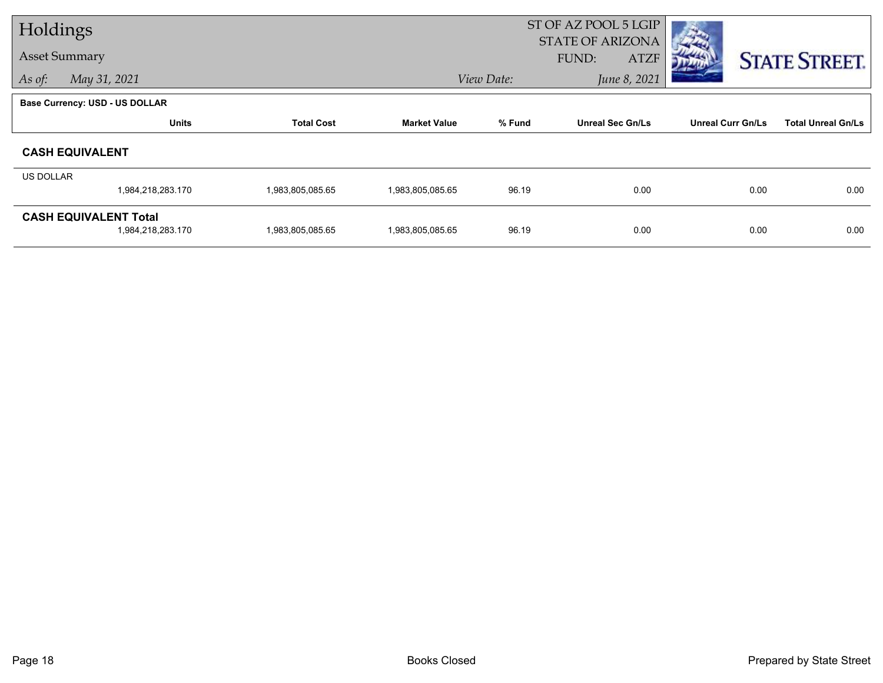| Holdings             |                                                   |                   |                     | ST OF AZ POOL 5 LGIP |                                                 |                          |                           |
|----------------------|---------------------------------------------------|-------------------|---------------------|----------------------|-------------------------------------------------|--------------------------|---------------------------|
| <b>Asset Summary</b> |                                                   |                   |                     |                      | <b>STATE OF ARIZONA</b><br>FUND:<br><b>ATZF</b> |                          | <b>STATE STREET.</b>      |
| As of:               | May 31, 2021                                      |                   |                     | View Date:           | June 8, 2021                                    |                          |                           |
|                      | Base Currency: USD - US DOLLAR                    |                   |                     |                      |                                                 |                          |                           |
|                      | <b>Units</b>                                      | <b>Total Cost</b> | <b>Market Value</b> | % Fund               | <b>Unreal Sec Gn/Ls</b>                         | <b>Unreal Curr Gn/Ls</b> | <b>Total Unreal Gn/Ls</b> |
|                      | <b>CASH EQUIVALENT</b>                            |                   |                     |                      |                                                 |                          |                           |
| US DOLLAR            |                                                   |                   |                     |                      |                                                 |                          |                           |
|                      | 1,984,218,283.170                                 | 1,983,805,085.65  | 1,983,805,085.65    | 96.19                | 0.00                                            | 0.00                     | 0.00                      |
|                      | <b>CASH EQUIVALENT Total</b><br>1,984,218,283.170 | 1,983,805,085.65  | 1,983,805,085.65    | 96.19                | 0.00                                            | 0.00                     | 0.00                      |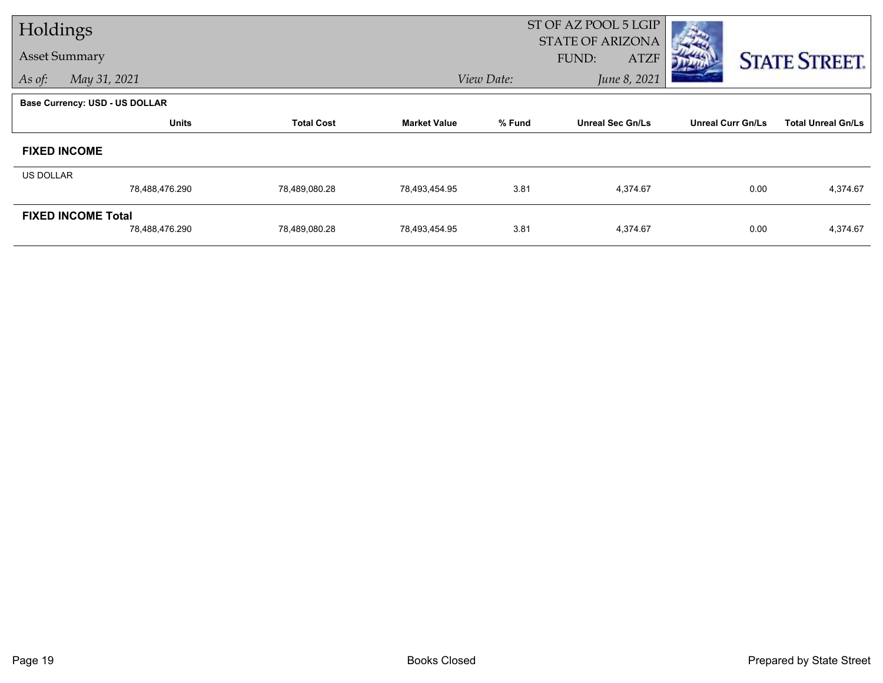| Holdings             |                                       |                   |                     | ST OF AZ POOL 5 LGIP |                                                 |                          |                           |  |
|----------------------|---------------------------------------|-------------------|---------------------|----------------------|-------------------------------------------------|--------------------------|---------------------------|--|
| <b>Asset Summary</b> |                                       |                   |                     |                      | <b>STATE OF ARIZONA</b><br>FUND:<br><b>ATZF</b> |                          | <b>STATE STREET.</b>      |  |
| As of:               | May 31, 2021                          |                   |                     | View Date:           | June 8, 2021                                    |                          |                           |  |
|                      | <b>Base Currency: USD - US DOLLAR</b> |                   |                     |                      |                                                 |                          |                           |  |
|                      | <b>Units</b>                          | <b>Total Cost</b> | <b>Market Value</b> | % Fund               | <b>Unreal Sec Gn/Ls</b>                         | <b>Unreal Curr Gn/Ls</b> | <b>Total Unreal Gn/Ls</b> |  |
| <b>FIXED INCOME</b>  |                                       |                   |                     |                      |                                                 |                          |                           |  |
| <b>US DOLLAR</b>     |                                       |                   |                     |                      |                                                 |                          |                           |  |
|                      | 78,488,476.290                        | 78,489,080.28     | 78,493,454.95       | 3.81                 | 4,374.67                                        | 0.00                     | 4,374.67                  |  |
|                      | <b>FIXED INCOME Total</b>             |                   |                     |                      |                                                 |                          |                           |  |
|                      | 78,488,476.290                        | 78,489,080.28     | 78,493,454.95       | 3.81                 | 4,374.67                                        | 0.00                     | 4,374.67                  |  |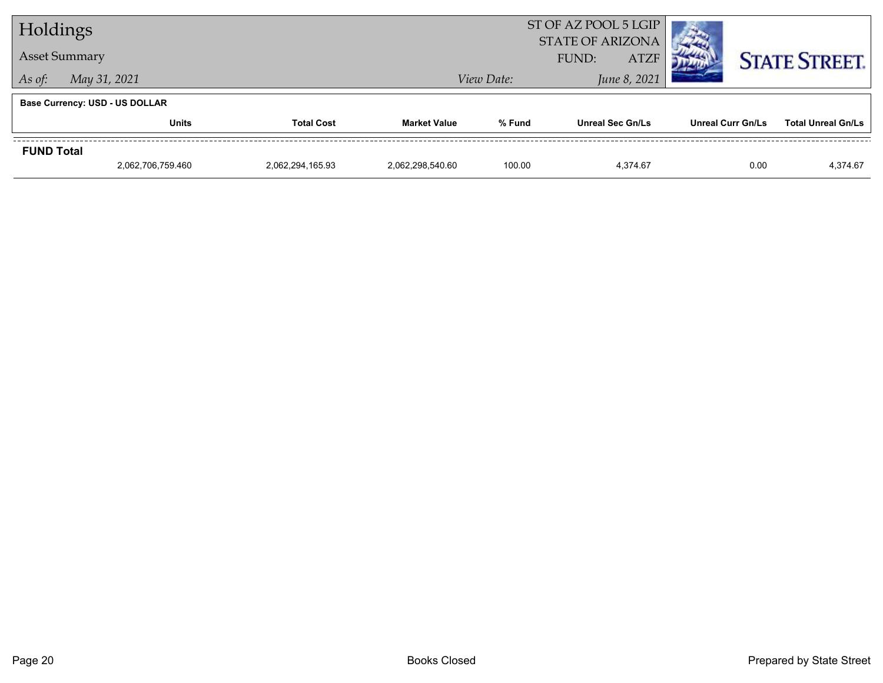| Holdings          |                                       |                   |                     | ST OF AZ POOL 5 LGIP<br><b>STATE OF ARIZONA</b> |                         |                          |                           |
|-------------------|---------------------------------------|-------------------|---------------------|-------------------------------------------------|-------------------------|--------------------------|---------------------------|
|                   | <b>Asset Summary</b>                  |                   |                     |                                                 | <b>ATZF</b><br>FUND:    |                          | <b>STATE STREET.</b>      |
| As of:            | May 31, 2021                          |                   |                     | View Date:                                      | June 8, 2021            |                          |                           |
|                   | <b>Base Currency: USD - US DOLLAR</b> |                   |                     |                                                 |                         |                          |                           |
|                   | <b>Units</b>                          | <b>Total Cost</b> | <b>Market Value</b> | % Fund                                          | <b>Unreal Sec Gn/Ls</b> | <b>Unreal Curr Gn/Ls</b> | <b>Total Unreal Gn/Ls</b> |
| <b>FUND Total</b> |                                       |                   |                     |                                                 |                         |                          |                           |
|                   | 2,062,706,759.460                     | 2,062,294,165.93  | 2.062.298.540.60    | 100.00                                          | 4.374.67                | 0.00                     | 4,374.67                  |